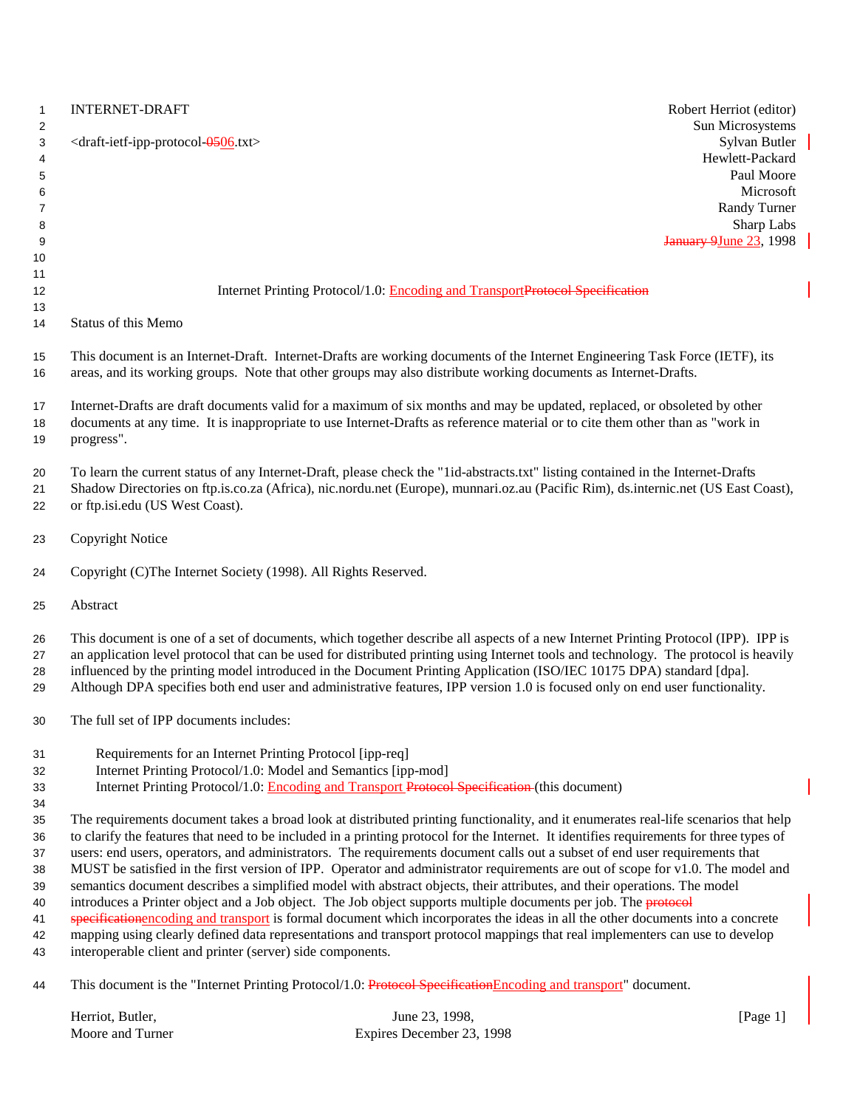| $\mathbf{1}$<br>2 | <b>INTERNET-DRAFT</b>                                                                                                                                                                                                                                          | Robert Herriot (editor)<br>Sun Microsystems    |
|-------------------|----------------------------------------------------------------------------------------------------------------------------------------------------------------------------------------------------------------------------------------------------------------|------------------------------------------------|
| 3<br>4<br>5       | <draft-ietf-ipp-protocol-0506.txt></draft-ietf-ipp-protocol-0506.txt>                                                                                                                                                                                          | Sylvan Butler<br>Hewlett-Packard<br>Paul Moore |
| 6                 |                                                                                                                                                                                                                                                                | Microsoft                                      |
| $\overline{7}$    |                                                                                                                                                                                                                                                                | Randy Turner                                   |
| 8                 |                                                                                                                                                                                                                                                                | Sharp Labs                                     |
| 9                 |                                                                                                                                                                                                                                                                | <b>January 9June 23, 1998</b>                  |
| 10                |                                                                                                                                                                                                                                                                |                                                |
| 11                |                                                                                                                                                                                                                                                                |                                                |
| 12                | Internet Printing Protocol/1.0: Encoding and TransportProtocol Specification                                                                                                                                                                                   |                                                |
| 13<br>14          | Status of this Memo                                                                                                                                                                                                                                            |                                                |
| 15<br>16          | This document is an Internet-Draft. Internet-Drafts are working documents of the Internet Engineering Task Force (IETF), its<br>areas, and its working groups. Note that other groups may also distribute working documents as Internet-Drafts.                |                                                |
| 17                | Internet-Drafts are draft documents valid for a maximum of six months and may be updated, replaced, or obsoleted by other                                                                                                                                      |                                                |
| 18<br>19          | documents at any time. It is inappropriate to use Internet-Drafts as reference material or to cite them other than as "work in<br>progress".                                                                                                                   |                                                |
| 20                | To learn the current status of any Internet-Draft, please check the "1id-abstracts.txt" listing contained in the Internet-Drafts                                                                                                                               |                                                |
| 21                | Shadow Directories on ftp.is.co.za (Africa), nic.nordu.net (Europe), munnari.oz.au (Pacific Rim), ds.internic.net (US East Coast),                                                                                                                             |                                                |
| 22                | or ftp.isi.edu (US West Coast).                                                                                                                                                                                                                                |                                                |
| 23                | <b>Copyright Notice</b>                                                                                                                                                                                                                                        |                                                |
| 24                | Copyright (C)The Internet Society (1998). All Rights Reserved.                                                                                                                                                                                                 |                                                |
| 25                | Abstract                                                                                                                                                                                                                                                       |                                                |
| 26                | This document is one of a set of documents, which together describe all aspects of a new Internet Printing Protocol (IPP). IPP is                                                                                                                              |                                                |
| 27                | an application level protocol that can be used for distributed printing using Internet tools and technology. The protocol is heavily                                                                                                                           |                                                |
| 28<br>29          | influenced by the printing model introduced in the Document Printing Application (ISO/IEC 10175 DPA) standard [dpa].<br>Although DPA specifies both end user and administrative features, IPP version 1.0 is focused only on end user functionality.           |                                                |
| 30                | The full set of IPP documents includes:                                                                                                                                                                                                                        |                                                |
| 31                | Requirements for an Internet Printing Protocol [ipp-req]                                                                                                                                                                                                       |                                                |
| 32                | Internet Printing Protocol/1.0: Model and Semantics [ipp-mod]                                                                                                                                                                                                  |                                                |
| 33                | Internet Printing Protocol/1.0: Encoding and Transport Protocol Specification (this document)                                                                                                                                                                  |                                                |
| 34                |                                                                                                                                                                                                                                                                |                                                |
| 35                | The requirements document takes a broad look at distributed printing functionality, and it enumerates real-life scenarios that help                                                                                                                            |                                                |
| 36                | to clarify the features that need to be included in a printing protocol for the Internet. It identifies requirements for three types of                                                                                                                        |                                                |
| 37<br>38          | users: end users, operators, and administrators. The requirements document calls out a subset of end user requirements that<br>MUST be satisfied in the first version of IPP. Operator and administrator requirements are out of scope for v1.0. The model and |                                                |
| 39                | semantics document describes a simplified model with abstract objects, their attributes, and their operations. The model                                                                                                                                       |                                                |
| 40                | introduces a Printer object and a Job object. The Job object supports multiple documents per job. The protocol                                                                                                                                                 |                                                |
| 41                | specificationencoding and transport is formal document which incorporates the ideas in all the other documents into a concrete                                                                                                                                 |                                                |
| 42                | mapping using clearly defined data representations and transport protocol mappings that real implementers can use to develop                                                                                                                                   |                                                |
| 43                | interoperable client and printer (server) side components.                                                                                                                                                                                                     |                                                |
| 44                | This document is the "Internet Printing Protocol/1.0: Protocol Specification Encoding and transport" document.                                                                                                                                                 |                                                |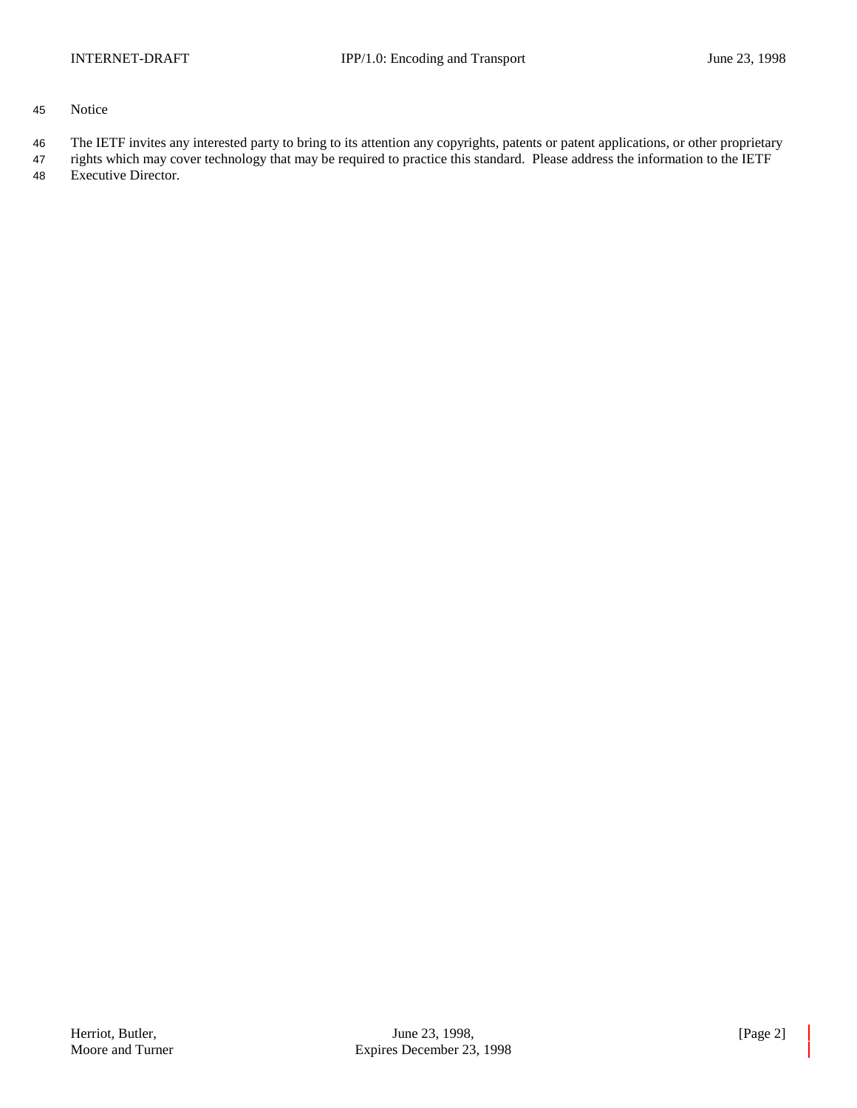- 45 Notice
- 46 The IETF invites any interested party to bring to its attention any copyrights, patents or patent applications, or other proprietary
- 47 rights which may cover technology that may be required to practice this standard. Please address the information to the IETF 48 Executive Director.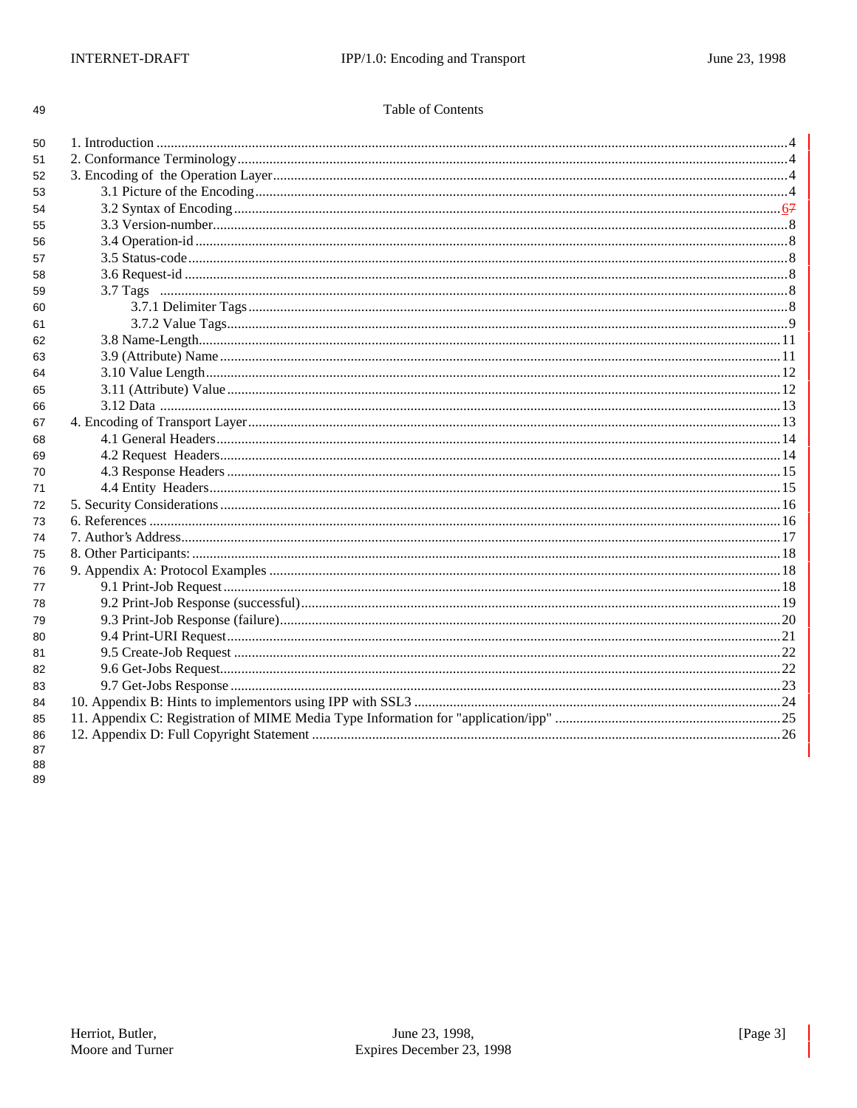## Table of Contents

| 50       |  |
|----------|--|
| 51       |  |
| 52       |  |
| 53       |  |
| 54       |  |
| 55       |  |
| 56       |  |
| 57       |  |
| 58       |  |
| 59       |  |
| 60       |  |
| 61       |  |
| 62       |  |
| 63       |  |
| 64       |  |
| 65       |  |
| 66       |  |
| 67       |  |
| 68       |  |
| 69       |  |
| 70       |  |
| 71       |  |
| 72       |  |
| 73       |  |
| 74       |  |
| 75       |  |
| 76       |  |
| 77       |  |
| 78       |  |
| 79       |  |
| 80       |  |
| 81       |  |
| 82       |  |
| 83       |  |
| 84       |  |
| 85       |  |
| 86<br>87 |  |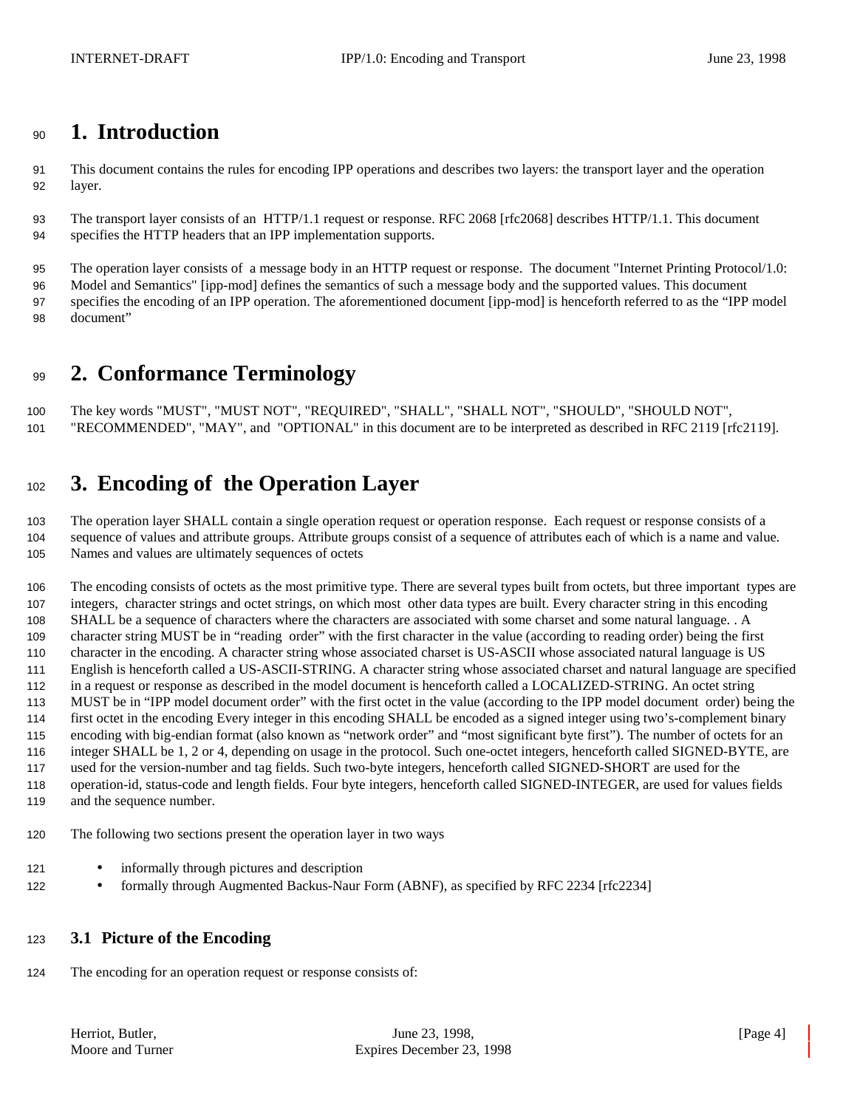## **1. Introduction**

 This document contains the rules for encoding IPP operations and describes two layers: the transport layer and the operation layer.

 The transport layer consists of an HTTP/1.1 request or response. RFC 2068 [rfc2068] describes HTTP/1.1. This document specifies the HTTP headers that an IPP implementation supports.

The operation layer consists of a message body in an HTTP request or response. The document "Internet Printing Protocol/1.0:

 Model and Semantics" [ipp-mod] defines the semantics of such a message body and the supported values. This document specifies the encoding of an IPP operation. The aforementioned document [ipp-mod] is henceforth referred to as the "IPP model document"

# **2. Conformance Terminology**

 The key words "MUST", "MUST NOT", "REQUIRED", "SHALL", "SHALL NOT", "SHOULD", "SHOULD NOT", "RECOMMENDED", "MAY", and "OPTIONAL" in this document are to be interpreted as described in RFC 2119 [rfc2119].

# **3. Encoding of the Operation Layer**

 The operation layer SHALL contain a single operation request or operation response. Each request or response consists of a sequence of values and attribute groups. Attribute groups consist of a sequence of attributes each of which is a name and value. Names and values are ultimately sequences of octets

 The encoding consists of octets as the most primitive type. There are several types built from octets, but three important types are integers, character strings and octet strings, on which most other data types are built. Every character string in this encoding SHALL be a sequence of characters where the characters are associated with some charset and some natural language. . A character string MUST be in "reading order" with the first character in the value (according to reading order) being the first character in the encoding. A character string whose associated charset is US-ASCII whose associated natural language is US English is henceforth called a US-ASCII-STRING. A character string whose associated charset and natural language are specified in a request or response as described in the model document is henceforth called a LOCALIZED-STRING. An octet string MUST be in "IPP model document order" with the first octet in the value (according to the IPP model document order) being the first octet in the encoding Every integer in this encoding SHALL be encoded as a signed integer using two's-complement binary encoding with big-endian format (also known as "network order" and "most significant byte first"). The number of octets for an integer SHALL be 1, 2 or 4, depending on usage in the protocol. Such one-octet integers, henceforth called SIGNED-BYTE, are used for the version-number and tag fields. Such two-byte integers, henceforth called SIGNED-SHORT are used for the operation-id, status-code and length fields. Four byte integers, henceforth called SIGNED-INTEGER, are used for values fields and the sequence number.

The following two sections present the operation layer in two ways

- 121 informally through pictures and description
- 122 formally through Augmented Backus-Naur Form (ABNF), as specified by RFC 2234 [rfc2234]

## **3.1 Picture of the Encoding**

The encoding for an operation request or response consists of: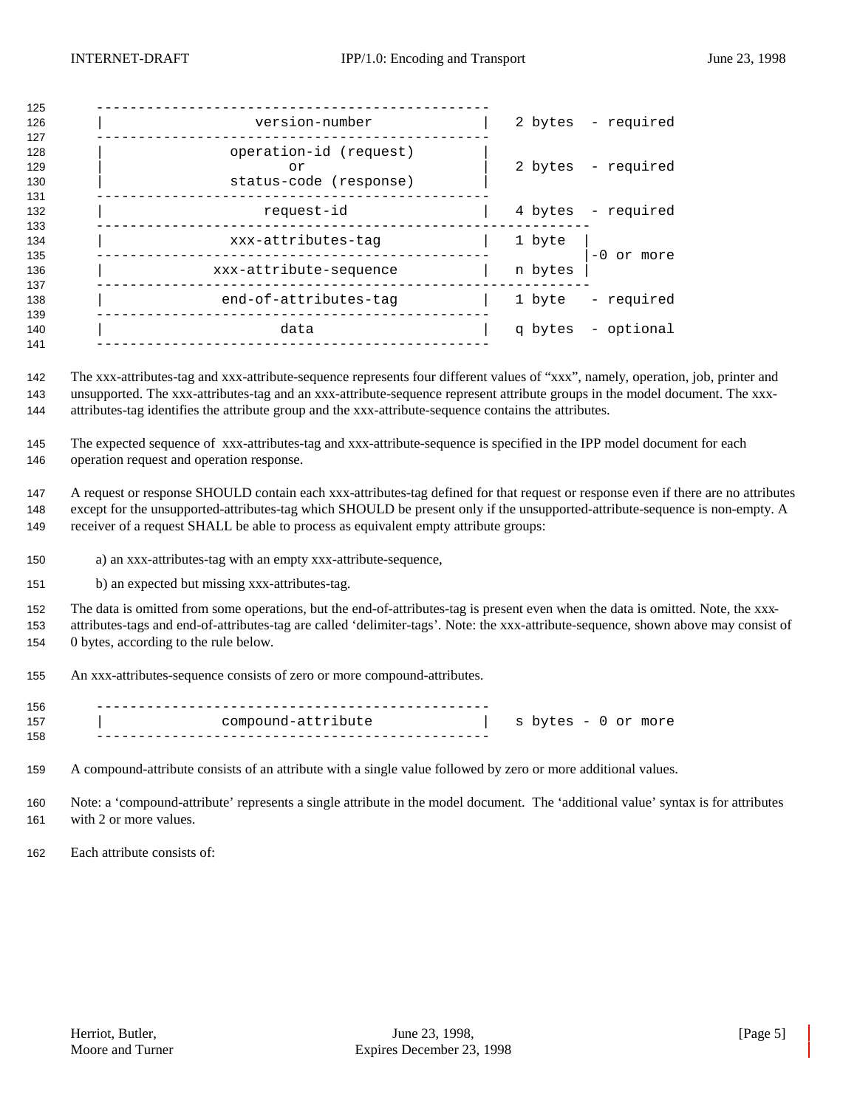| 125                      |                                                        |         |                    |
|--------------------------|--------------------------------------------------------|---------|--------------------|
| 126<br>127               | version-number                                         |         | 2 bytes - required |
| 128<br>129<br>130<br>131 | operation-id (request)<br>or<br>status-code (response) |         | 2 bytes - required |
| 132<br>133               | request-id                                             |         | 4 bytes - required |
| 134<br>135               | xxx-attributes-tag                                     | 1 byte  | $-0$ or more       |
| 136<br>137               | xxx-attribute-sequence                                 | n bytes |                    |
| 138<br>139               | end-of-attributes-tag                                  | 1 byte  | - required         |
| 140<br>141               | data                                                   |         | q bytes - optional |
|                          |                                                        |         |                    |

 The xxx-attributes-tag and xxx-attribute-sequence represents four different values of "xxx", namely, operation, job, printer and unsupported. The xxx-attributes-tag and an xxx-attribute-sequence represent attribute groups in the model document. The xxx-attributes-tag identifies the attribute group and the xxx-attribute-sequence contains the attributes.

 The expected sequence of xxx-attributes-tag and xxx-attribute-sequence is specified in the IPP model document for each operation request and operation response.

 A request or response SHOULD contain each xxx-attributes-tag defined for that request or response even if there are no attributes except for the unsupported-attributes-tag which SHOULD be present only if the unsupported-attribute-sequence is non-empty. A receiver of a request SHALL be able to process as equivalent empty attribute groups:

- a) an xxx-attributes-tag with an empty xxx-attribute-sequence,
- b) an expected but missing xxx-attributes-tag.

 The data is omitted from some operations, but the end-of-attributes-tag is present even when the data is omitted. Note, the xxx- attributes-tags and end-of-attributes-tag are called 'delimiter-tags'. Note: the xxx-attribute-sequence, shown above may consist of 0 bytes, according to the rule below.

An xxx-attributes-sequence consists of zero or more compound-attributes.

| 156 |                    |                     |
|-----|--------------------|---------------------|
| 157 | compound-attribute | s bytes - 0 or more |
| 158 |                    |                     |

A compound-attribute consists of an attribute with a single value followed by zero or more additional values.

 Note: a 'compound-attribute' represents a single attribute in the model document. The 'additional value' syntax is for attributes with 2 or more values.

Each attribute consists of: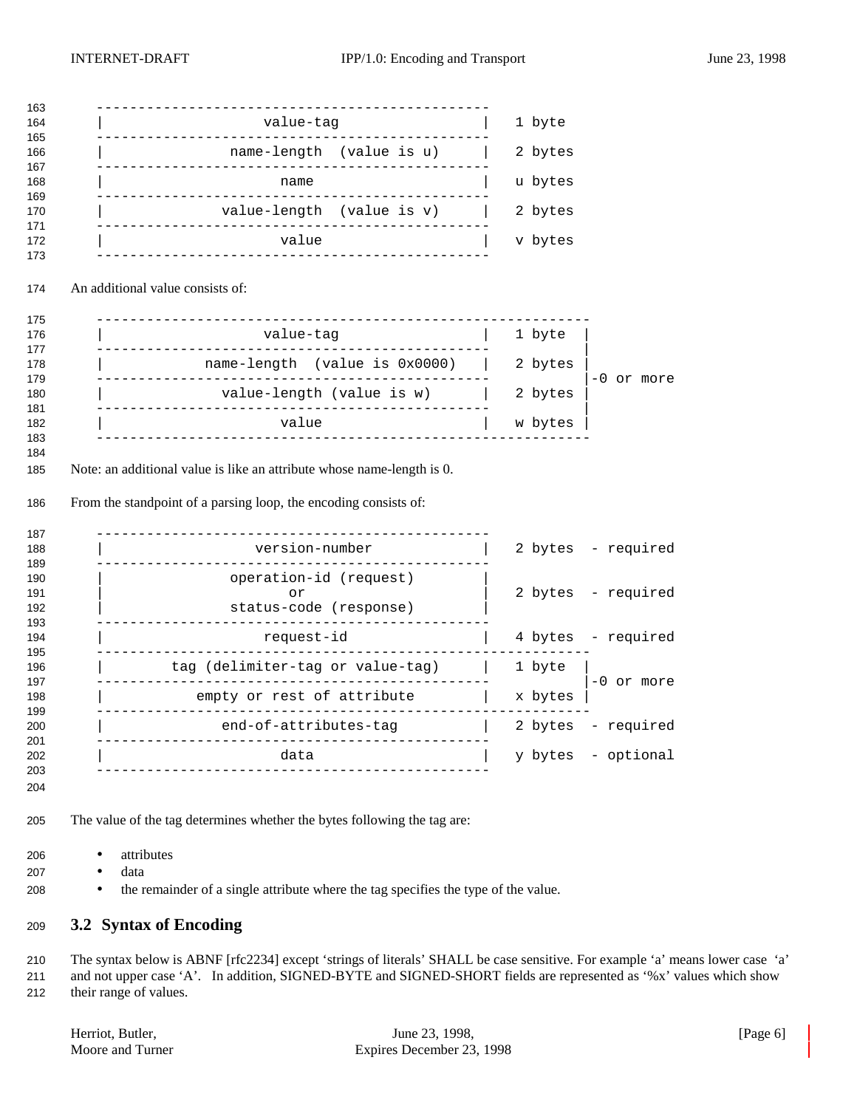| value-tag                                                                                                                                           | 1 byte             |              |
|-----------------------------------------------------------------------------------------------------------------------------------------------------|--------------------|--------------|
|                                                                                                                                                     |                    |              |
| name-length (value is u)                                                                                                                            | 2 bytes            |              |
| name                                                                                                                                                | u bytes            |              |
| value-length (value is v)<br>_____________________________________                                                                                  | 2 bytes            |              |
| value                                                                                                                                               | v bytes            |              |
| An additional value consists of:                                                                                                                    |                    |              |
| value-tag                                                                                                                                           | 1 byte             |              |
| name-length (value is 0x0000)                                                                                                                       | 2 bytes            |              |
|                                                                                                                                                     |                    |              |
| value-length (value is $w$ )                                                                                                                        | 2 bytes            |              |
| value<br>Note: an additional value is like an attribute whose name-length is 0.<br>From the standpoint of a parsing loop, the encoding consists of: | w bytes            |              |
|                                                                                                                                                     |                    |              |
| version-number                                                                                                                                      | 2 bytes - required |              |
| operation-id (request)<br>or                                                                                                                        | 2 bytes - required | $-0$ or more |
| status-code (response)                                                                                                                              |                    |              |
| request-id<br><u>.</u>                                                                                                                              | 4 bytes - required |              |
| tag (delimiter-tag or value-tag)                                                                                                                    | 1 byte             |              |
| _____________________<br>empty or rest of attribute                                                                                                 | x bytes            | $-0$ or more |
| end-of-attributes-tag                                                                                                                               | 2 bytes - required |              |

- data
- the remainder of a single attribute where the tag specifies the type of the value.

## **3.2 Syntax of Encoding**

 The syntax below is ABNF [rfc2234] except 'strings of literals' SHALL be case sensitive. For example 'a' means lower case 'a' and not upper case 'A'. In addition, SIGNED-BYTE and SIGNED-SHORT fields are represented as '%x' values which show their range of values.

| Herriot, Butler, |
|------------------|
| Moore and Turner |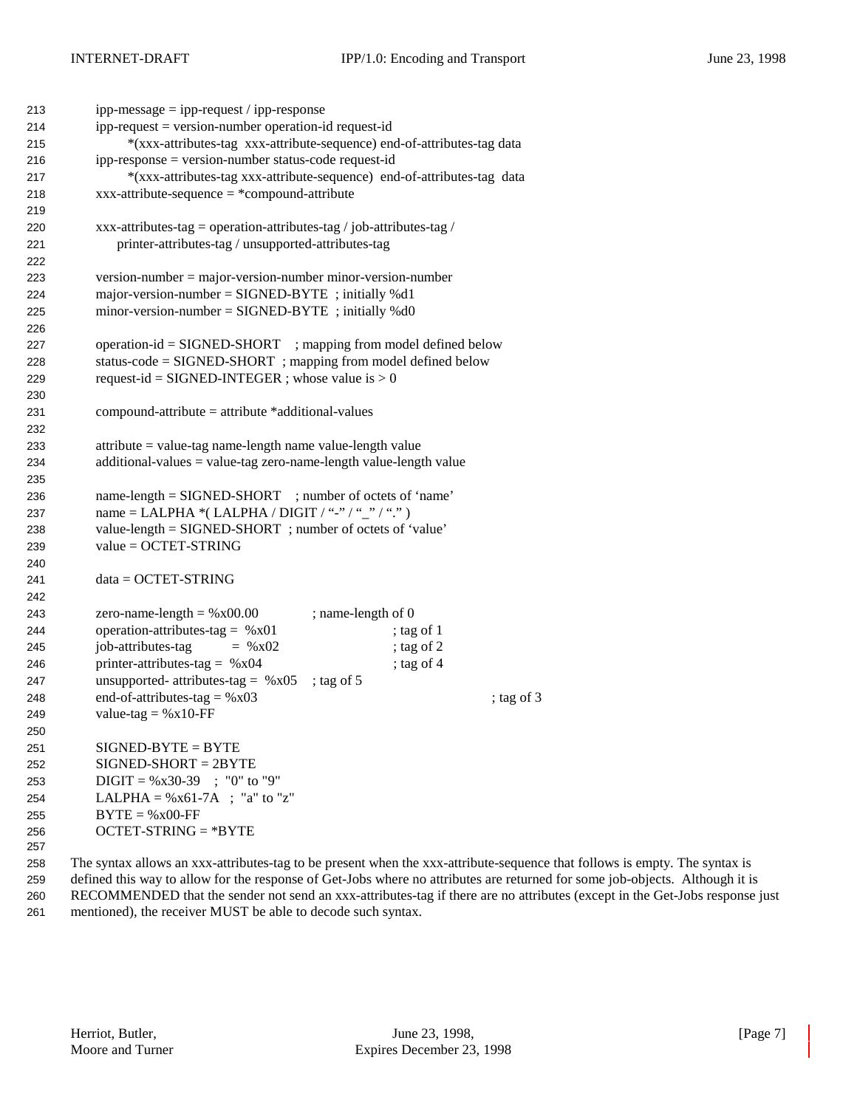| 213 | $ipp-message = ipp-request / ipp-response$                                                                   |                    |            |              |
|-----|--------------------------------------------------------------------------------------------------------------|--------------------|------------|--------------|
| 214 | $ipp-request = version-number operation-id request-id$                                                       |                    |            |              |
| 215 | *(xxx-attributes-tag xxx-attribute-sequence) end-of-attributes-tag data                                      |                    |            |              |
| 216 | ipp-response = version-number status-code request-id                                                         |                    |            |              |
| 217 | *(xxx-attributes-tag xxx-attribute-sequence) end-of-attributes-tag data                                      |                    |            |              |
| 218 | $xxx-attribute-sequence = *compound-attribute$                                                               |                    |            |              |
| 219 |                                                                                                              |                    |            |              |
| 220 | xxx-attributes-tag = operation-attributes-tag / job-attributes-tag /                                         |                    |            |              |
| 221 | printer-attributes-tag / unsupported-attributes-tag                                                          |                    |            |              |
| 222 |                                                                                                              |                    |            |              |
| 223 | $version-number = major-version-number minor-version-number$                                                 |                    |            |              |
| 224 | major-version-number = $SIGNED-BYTE$ ; initially %d1                                                         |                    |            |              |
| 225 | $minor-version-number = SIGNED-BYTE$ ; initially %d0                                                         |                    |            |              |
| 226 |                                                                                                              |                    |            |              |
| 227 | operation-id = SIGNED-SHORT ; mapping from model defined below                                               |                    |            |              |
| 228 | status-code = SIGNED-SHORT ; mapping from model defined below                                                |                    |            |              |
| 229 | request-id = SIGNED-INTEGER ; whose value is $> 0$                                                           |                    |            |              |
| 230 |                                                                                                              |                    |            |              |
| 231 | $compound-attribute = attribute * additional-values$                                                         |                    |            |              |
| 232 |                                                                                                              |                    |            |              |
|     | $attribute = value-tag name-length name value-length value$                                                  |                    |            |              |
| 233 | $additional-values = value-tag zero-name-length value-length value$                                          |                    |            |              |
| 234 |                                                                                                              |                    |            |              |
| 235 |                                                                                                              |                    |            |              |
| 236 | name-length = SIGNED-SHORT ; number of octets of 'name'<br>name = LALPHA *(LALPHA / DIGIT / "-" / "_" / ".") |                    |            |              |
| 237 |                                                                                                              |                    |            |              |
| 238 | value-length = SIGNED-SHORT ; number of octets of 'value'                                                    |                    |            |              |
| 239 | $value = OCTET-STRING$                                                                                       |                    |            |              |
| 240 |                                                                                                              |                    |            |              |
| 241 | $data = OCTET-STRING$                                                                                        |                    |            |              |
| 242 |                                                                                                              |                    |            |              |
| 243 | zero-name-length = $%x00.00$                                                                                 | ; name-length of 0 |            |              |
| 244 | operation-attributes-tag = $%x01$                                                                            |                    | ; tag of 1 |              |
| 245 | job-attributes-tag<br>$=$ % x 02                                                                             |                    | ; tag of 2 |              |
| 246 | printer-attributes-tag = $%x04$                                                                              |                    | ; tag of 4 |              |
| 247 | unsupported- attributes-tag = $%x05$                                                                         | ; tag of $5$       |            |              |
| 248 | end-of-attributes-tag = $%x03$                                                                               |                    |            | ; tag of $3$ |
| 249 | value-tag = $%x10$ -FF                                                                                       |                    |            |              |
| 250 |                                                                                                              |                    |            |              |
| 251 | $SIGNED-BYTE = BYTE$                                                                                         |                    |            |              |
| 252 | $SIGNED-SHORT = 2BYTE$                                                                                       |                    |            |              |
| 253 | $DIGIT = \%x30-39$ ; "0" to "9"                                                                              |                    |            |              |
| 254 | LALPHA = $%x61-7A$ ; "a" to "z"                                                                              |                    |            |              |
| 255 | $BYTE = %x00-FF$                                                                                             |                    |            |              |
| 256 | $OCTET-STRING = *BYTE$                                                                                       |                    |            |              |
| 257 |                                                                                                              |                    |            |              |

 The syntax allows an xxx-attributes-tag to be present when the xxx-attribute-sequence that follows is empty. The syntax is defined this way to allow for the response of Get-Jobs where no attributes are returned for some job-objects. Although it is RECOMMENDED that the sender not send an xxx-attributes-tag if there are no attributes (except in the Get-Jobs response just mentioned), the receiver MUST be able to decode such syntax.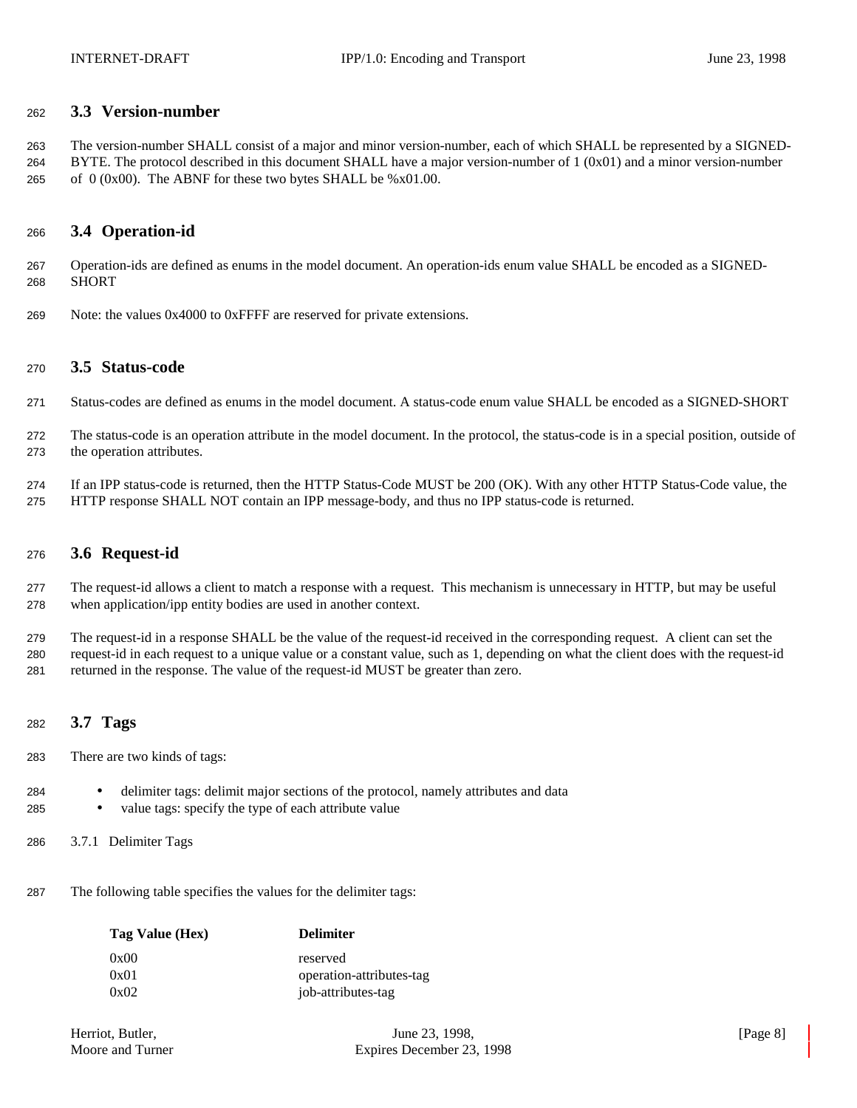### **3.3 Version-number**

 The version-number SHALL consist of a major and minor version-number, each of which SHALL be represented by a SIGNED- BYTE. The protocol described in this document SHALL have a major version-number of 1 (0x01) and a minor version-number 265 of  $(0x00)$ . The ABNF for these two bytes SHALL be %x01.00.

## **3.4 Operation-id**

 Operation-ids are defined as enums in the model document. An operation-ids enum value SHALL be encoded as a SIGNED-SHORT

Note: the values 0x4000 to 0xFFFF are reserved for private extensions.

### **3.5 Status-code**

- Status-codes are defined as enums in the model document. A status-code enum value SHALL be encoded as a SIGNED-SHORT
- The status-code is an operation attribute in the model document. In the protocol, the status-code is in a special position, outside of the operation attributes.
- If an IPP status-code is returned, then the HTTP Status-Code MUST be 200 (OK). With any other HTTP Status-Code value, the HTTP response SHALL NOT contain an IPP message-body, and thus no IPP status-code is returned.

## **3.6 Request-id**

 The request-id allows a client to match a response with a request. This mechanism is unnecessary in HTTP, but may be useful when application/ipp entity bodies are used in another context.

 The request-id in a response SHALL be the value of the request-id received in the corresponding request. A client can set the request-id in each request to a unique value or a constant value, such as 1, depending on what the client does with the request-id returned in the response. The value of the request-id MUST be greater than zero.

## **3.7 Tags**

- There are two kinds of tags:
- delimiter tags: delimit major sections of the protocol, namely attributes and data
- value tags: specify the type of each attribute value
- 3.7.1 Delimiter Tags
- The following table specifies the values for the delimiter tags:

| Tag Value (Hex) | <b>Delimiter</b>         |
|-----------------|--------------------------|
| 0x00            | reserved                 |
| 0x01            | operation-attributes-tag |
| 0x02            | job-attributes-tag       |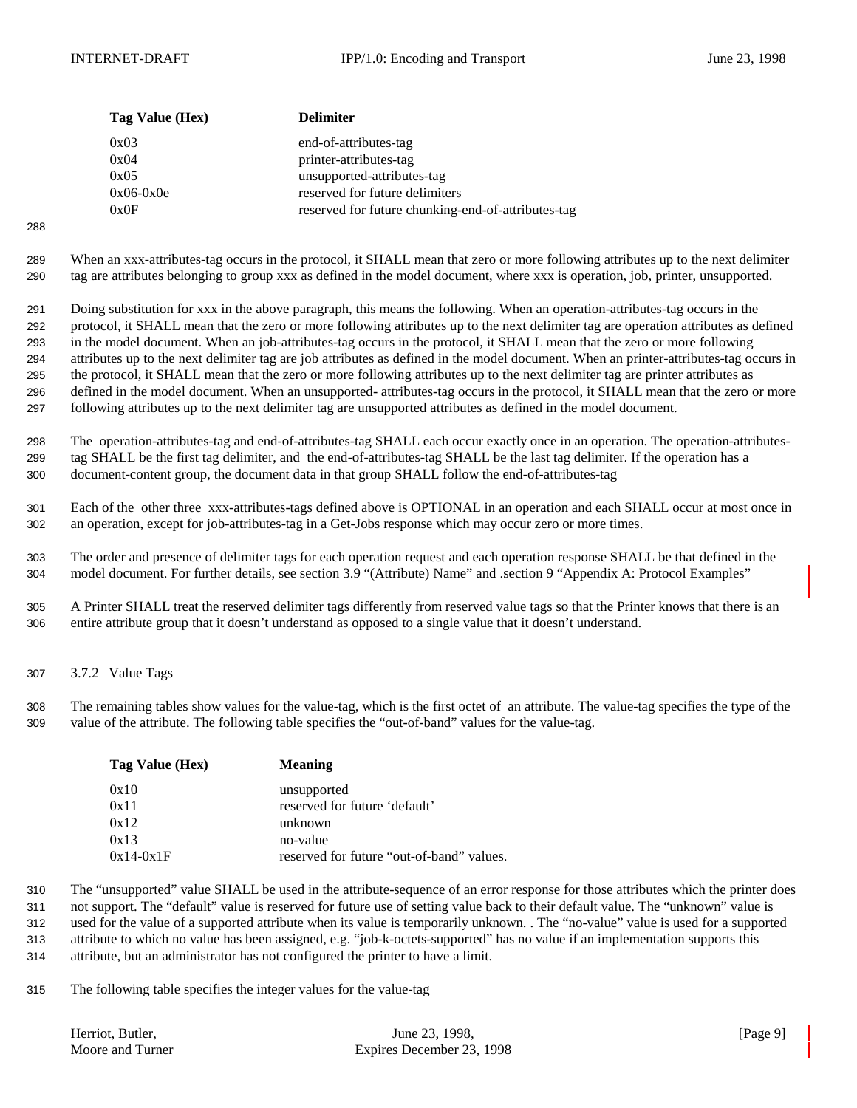| Tag Value (Hex) | <b>Delimiter</b>                                   |
|-----------------|----------------------------------------------------|
| 0x03            | end-of-attributes-tag                              |
| 0x04            | printer-attributes-tag                             |
| 0x05            | unsupported-attributes-tag                         |
| $0x06-0x0e$     | reserved for future delimiters                     |
| 0x0F            | reserved for future chunking-end-of-attributes-tag |
|                 |                                                    |

 When an xxx-attributes-tag occurs in the protocol, it SHALL mean that zero or more following attributes up to the next delimiter tag are attributes belonging to group xxx as defined in the model document, where xxx is operation, job, printer, unsupported.

 Doing substitution for xxx in the above paragraph, this means the following. When an operation-attributes-tag occurs in the protocol, it SHALL mean that the zero or more following attributes up to the next delimiter tag are operation attributes as defined in the model document. When an job-attributes-tag occurs in the protocol, it SHALL mean that the zero or more following attributes up to the next delimiter tag are job attributes as defined in the model document. When an printer-attributes-tag occurs in the protocol, it SHALL mean that the zero or more following attributes up to the next delimiter tag are printer attributes as defined in the model document. When an unsupported- attributes-tag occurs in the protocol, it SHALL mean that the zero or more following attributes up to the next delimiter tag are unsupported attributes as defined in the model document.

 The operation-attributes-tag and end-of-attributes-tag SHALL each occur exactly once in an operation. The operation-attributes- tag SHALL be the first tag delimiter, and the end-of-attributes-tag SHALL be the last tag delimiter. If the operation has a document-content group, the document data in that group SHALL follow the end-of-attributes-tag

 Each of the other three xxx-attributes-tags defined above is OPTIONAL in an operation and each SHALL occur at most once in an operation, except for job-attributes-tag in a Get-Jobs response which may occur zero or more times.

 The order and presence of delimiter tags for each operation request and each operation response SHALL be that defined in the model document. For further details, see section 3.9 "(Attribute) Name" and .section 9 "Appendix A: Protocol Examples"

 A Printer SHALL treat the reserved delimiter tags differently from reserved value tags so that the Printer knows that there is an entire attribute group that it doesn't understand as opposed to a single value that it doesn't understand.

3.7.2 Value Tags

 The remaining tables show values for the value-tag, which is the first octet of an attribute. The value-tag specifies the type of the value of the attribute. The following table specifies the "out-of-band" values for the value-tag.

| Tag Value (Hex) | <b>Meaning</b>                            |
|-----------------|-------------------------------------------|
| 0x10            | unsupported                               |
| 0x11            | reserved for future 'default'             |
| 0x12            | unknown                                   |
| 0x13            | no-value                                  |
| $0x14-0x1F$     | reserved for future "out-of-band" values. |

 The "unsupported" value SHALL be used in the attribute-sequence of an error response for those attributes which the printer does not support. The "default" value is reserved for future use of setting value back to their default value. The "unknown" value is used for the value of a supported attribute when its value is temporarily unknown. . The "no-value" value is used for a supported attribute to which no value has been assigned, e.g. "job-k-octets-supported" has no value if an implementation supports this

attribute, but an administrator has not configured the printer to have a limit.

The following table specifies the integer values for the value-tag

| Herriot. Butler. | June 23, 1998,            | [Page $9$ ] |
|------------------|---------------------------|-------------|
| Moore and Turner | Expires December 23, 1998 |             |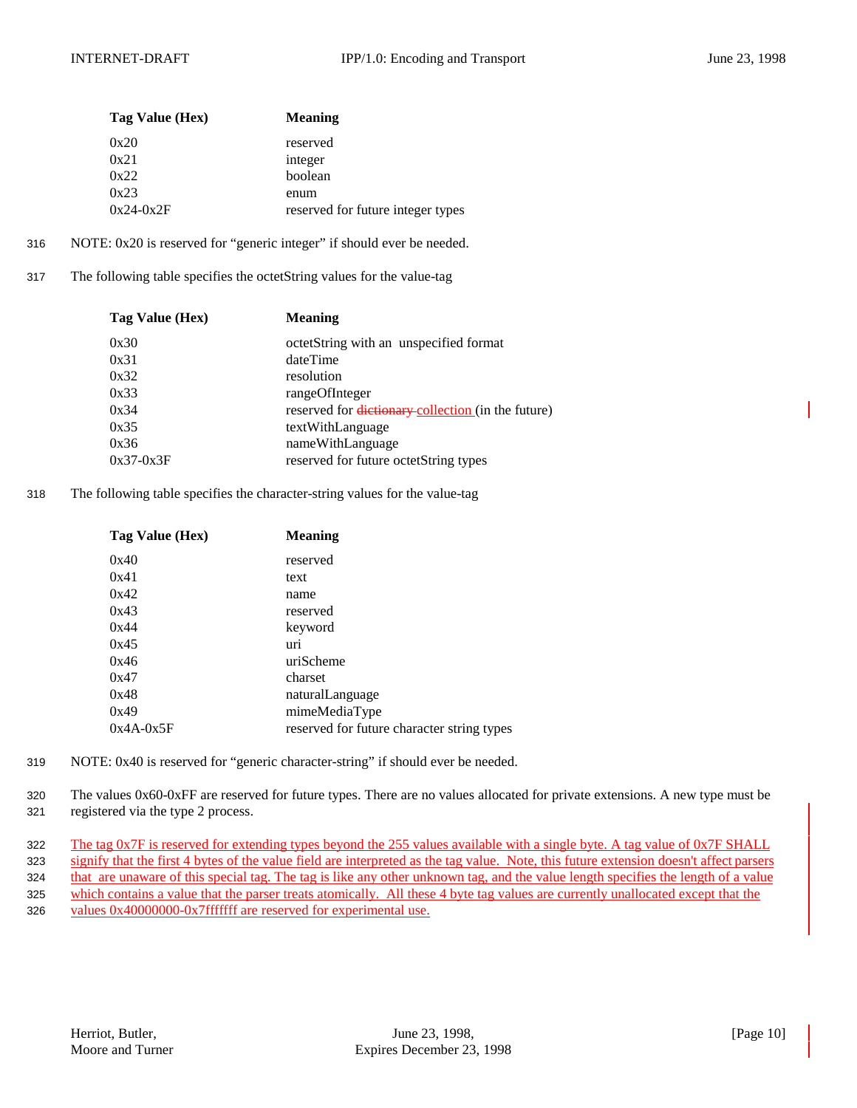| Tag Value (Hex) | <b>Meaning</b>                    |
|-----------------|-----------------------------------|
| 0x20            | reserved                          |
| 0x21            | integer                           |
| 0x22            | boolean                           |
| 0x23            | enum                              |
| $0x24-0x2F$     | reserved for future integer types |

- 316 NOTE: 0x20 is reserved for "generic integer" if should ever be needed.
- 317 The following table specifies the octetString values for the value-tag

| Tag Value (Hex) | <b>Meaning</b>                                     |
|-----------------|----------------------------------------------------|
| 0x30            | octetString with an unspecified format             |
| 0x31            | dateTime                                           |
| 0x32            | resolution                                         |
| 0x33            | rangeOfInteger                                     |
| 0x34            | reserved for dictionary-collection (in the future) |
| 0x35            | textWithLanguage                                   |
| 0x36            | nameWithLanguage                                   |
| $0x37-0x3F$     | reserved for future octetString types              |
|                 |                                                    |

318 The following table specifies the character-string values for the value-tag

| Tag Value (Hex) | <b>Meaning</b>                             |
|-----------------|--------------------------------------------|
| 0x40            | reserved                                   |
| 0x41            | text                                       |
| 0x42            | name                                       |
| 0x43            | reserved                                   |
| 0x44            | keyword                                    |
| 0x45            | uri                                        |
| 0x46            | uriScheme                                  |
| 0x47            | charset                                    |
| 0x48            | naturalLanguage                            |
| 0x49            | mimeMediaType                              |
| $0x4A-0x5F$     | reserved for future character string types |

- 319 NOTE: 0x40 is reserved for "generic character-string" if should ever be needed.
- 320 The values 0x60-0xFF are reserved for future types. There are no values allocated for private extensions. A new type must be 321 registered via the type 2 process.

322 The tag 0x7F is reserved for extending types beyond the 255 values available with a single byte. A tag value of 0x7F SHALL 323 signify that the first 4 bytes of the value field are interpreted as the tag value. Note, this future extension doesn't affect parsers 324 that are unaware of this special tag. The tag is like any other unknown tag, and the value length specifies the length of a value 325 which contains a value that the parser treats atomically. All these 4 byte tag values are currently unallocated except that the 326 values 0x40000000-0x7fffffff are reserved for experimental use.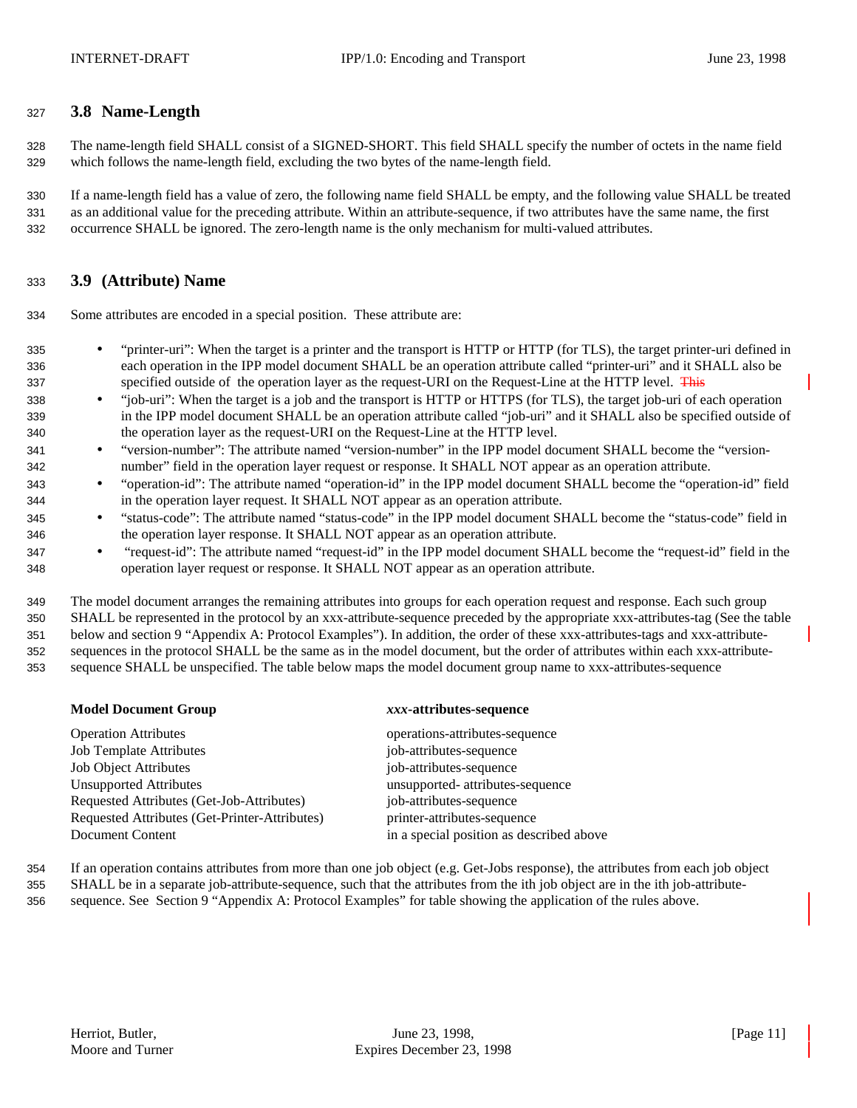## **3.8 Name-Length**

 The name-length field SHALL consist of a SIGNED-SHORT. This field SHALL specify the number of octets in the name field which follows the name-length field, excluding the two bytes of the name-length field.

 If a name-length field has a value of zero, the following name field SHALL be empty, and the following value SHALL be treated as an additional value for the preceding attribute. Within an attribute-sequence, if two attributes have the same name, the first occurrence SHALL be ignored. The zero-length name is the only mechanism for multi-valued attributes.

## **3.9 (Attribute) Name**

Some attributes are encoded in a special position. These attribute are:

- "printer-uri": When the target is a printer and the transport is HTTP or HTTP (for TLS), the target printer-uri defined in each operation in the IPP model document SHALL be an operation attribute called "printer-uri" and it SHALL also be 337 specified outside of the operation layer as the request-URI on the Request-Line at the HTTP level. This
- "job-uri": When the target is a job and the transport is HTTP or HTTPS (for TLS), the target job-uri of each operation in the IPP model document SHALL be an operation attribute called "job-uri" and it SHALL also be specified outside of the operation layer as the request-URI on the Request-Line at the HTTP level.
- "version-number": The attribute named "version-number" in the IPP model document SHALL become the "version-number" field in the operation layer request or response. It SHALL NOT appear as an operation attribute.
- "operation-id": The attribute named "operation-id" in the IPP model document SHALL become the "operation-id" field in the operation layer request. It SHALL NOT appear as an operation attribute.
- "status-code": The attribute named "status-code" in the IPP model document SHALL become the "status-code" field in the operation layer response. It SHALL NOT appear as an operation attribute.
- "request-id": The attribute named "request-id" in the IPP model document SHALL become the "request-id" field in the operation layer request or response. It SHALL NOT appear as an operation attribute.

 The model document arranges the remaining attributes into groups for each operation request and response. Each such group SHALL be represented in the protocol by an xxx-attribute-sequence preceded by the appropriate xxx-attributes-tag (See the table below and section 9 "Appendix A: Protocol Examples"). In addition, the order of these xxx-attributes-tags and xxx-attribute- sequences in the protocol SHALL be the same as in the model document, but the order of attributes within each xxx-attribute-sequence SHALL be unspecified. The table below maps the model document group name to xxx-attributes-sequence

### **Model Document Group** *xxx***-attributes-sequence**

| <b>Operation Attributes</b>                   | operations-attributes-sequence           |
|-----------------------------------------------|------------------------------------------|
| <b>Job Template Attributes</b>                | job-attributes-sequence                  |
| <b>Job Object Attributes</b>                  | job-attributes-sequence                  |
| <b>Unsupported Attributes</b>                 | unsupported- attributes-sequence         |
| Requested Attributes (Get-Job-Attributes)     | job-attributes-sequence                  |
| Requested Attributes (Get-Printer-Attributes) | printer-attributes-sequence              |
| Document Content                              | in a special position as described above |

- If an operation contains attributes from more than one job object (e.g. Get-Jobs response), the attributes from each job object
- SHALL be in a separate job-attribute-sequence, such that the attributes from the ith job object are in the ith job-attribute-
- sequence. See Section 9 "Appendix A: Protocol Examples" for table showing the application of the rules above.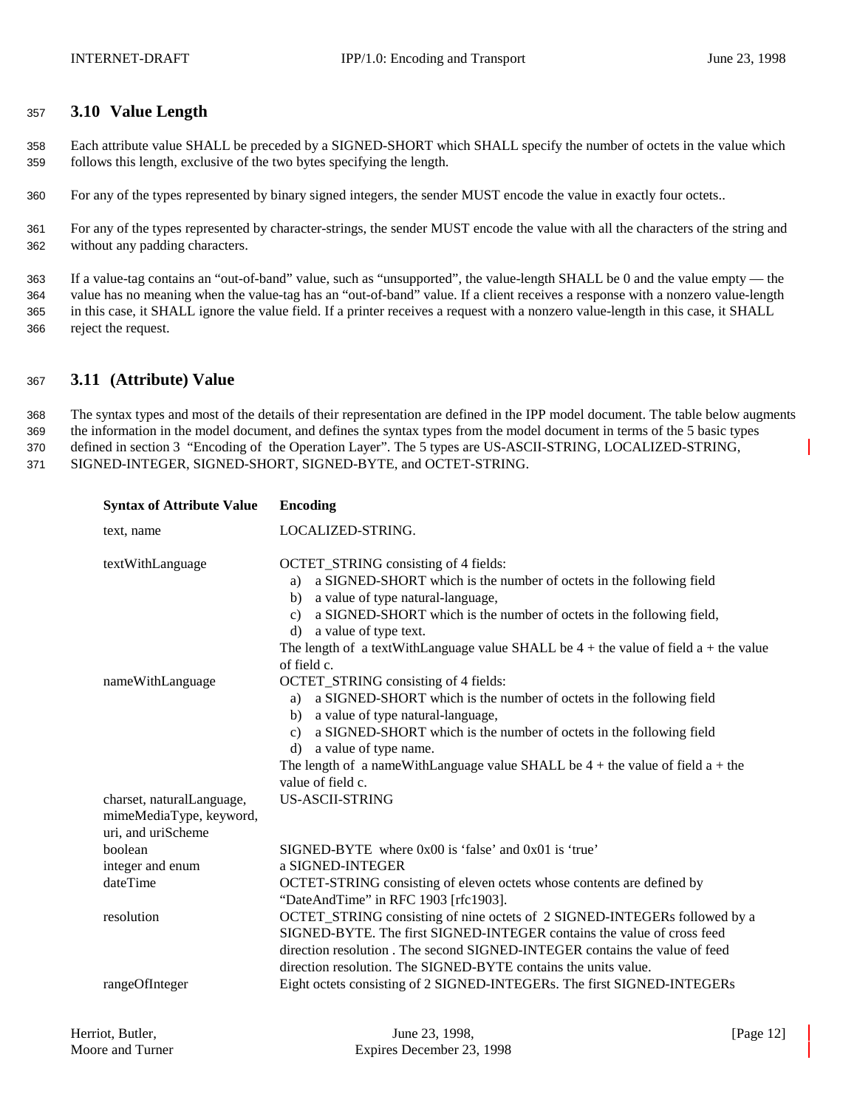## <sup>357</sup> **3.10 Value Length**

358 Each attribute value SHALL be preceded by a SIGNED-SHORT which SHALL specify the number of octets in the value which 359 follows this length, exclusive of the two bytes specifying the length.

360 For any of the types represented by binary signed integers, the sender MUST encode the value in exactly four octets..

361 For any of the types represented by character-strings, the sender MUST encode the value with all the characters of the string and 362 without any padding characters.

 If a value-tag contains an "out-of-band" value, such as "unsupported", the value-length SHALL be 0 and the value empty — the value has no meaning when the value-tag has an "out-of-band" value. If a client receives a response with a nonzero value-length in this case, it SHALL ignore the value field. If a printer receives a request with a nonzero value-length in this case, it SHALL reject the request.

## <sup>367</sup> **3.11 (Attribute) Value**

 The syntax types and most of the details of their representation are defined in the IPP model document. The table below augments the information in the model document, and defines the syntax types from the model document in terms of the 5 basic types defined in section 3 "Encoding of the Operation Layer". The 5 types are US-ASCII-STRING, LOCALIZED-STRING, SIGNED-INTEGER, SIGNED-SHORT, SIGNED-BYTE, and OCTET-STRING.

| <b>Syntax of Attribute Value</b>                                           | <b>Encoding</b>                                                                                                                                                                                                                                                                                                                                                                                 |
|----------------------------------------------------------------------------|-------------------------------------------------------------------------------------------------------------------------------------------------------------------------------------------------------------------------------------------------------------------------------------------------------------------------------------------------------------------------------------------------|
| text, name                                                                 | LOCALIZED-STRING.                                                                                                                                                                                                                                                                                                                                                                               |
| textWithLanguage                                                           | OCTET_STRING consisting of 4 fields:<br>a SIGNED-SHORT which is the number of octets in the following field<br>a)<br>a value of type natural-language,<br>b)<br>a SIGNED-SHORT which is the number of octets in the following field,<br>c)<br>a value of type text.<br>d)<br>The length of a textWithLanguage value SHALL be $4 +$ the value of field $a +$ the value<br>of field c.            |
| nameWithLanguage                                                           | OCTET_STRING consisting of 4 fields:<br>a SIGNED-SHORT which is the number of octets in the following field<br>a)<br>a value of type natural-language,<br>b)<br>a SIGNED-SHORT which is the number of octets in the following field<br>$\mathbf{c}$ )<br>a value of type name.<br>d)<br>The length of a nameWithLanguage value SHALL be $4 +$ the value of field $a +$ the<br>value of field c. |
| charset, naturalLanguage,<br>mimeMediaType, keyword,<br>uri, and uriScheme | <b>US-ASCII-STRING</b>                                                                                                                                                                                                                                                                                                                                                                          |
| boolean                                                                    | SIGNED-BYTE where 0x00 is 'false' and 0x01 is 'true'                                                                                                                                                                                                                                                                                                                                            |
| integer and enum                                                           | a SIGNED-INTEGER                                                                                                                                                                                                                                                                                                                                                                                |
| dateTime                                                                   | OCTET-STRING consisting of eleven octets whose contents are defined by<br>"DateAndTime" in RFC 1903 [rfc1903].                                                                                                                                                                                                                                                                                  |
| resolution                                                                 | OCTET_STRING consisting of nine octets of 2 SIGNED-INTEGERs followed by a<br>SIGNED-BYTE. The first SIGNED-INTEGER contains the value of cross feed<br>direction resolution. The second SIGNED-INTEGER contains the value of feed<br>direction resolution. The SIGNED-BYTE contains the units value.                                                                                            |
| rangeOfInteger                                                             | Eight octets consisting of 2 SIGNED-INTEGERs. The first SIGNED-INTEGERs                                                                                                                                                                                                                                                                                                                         |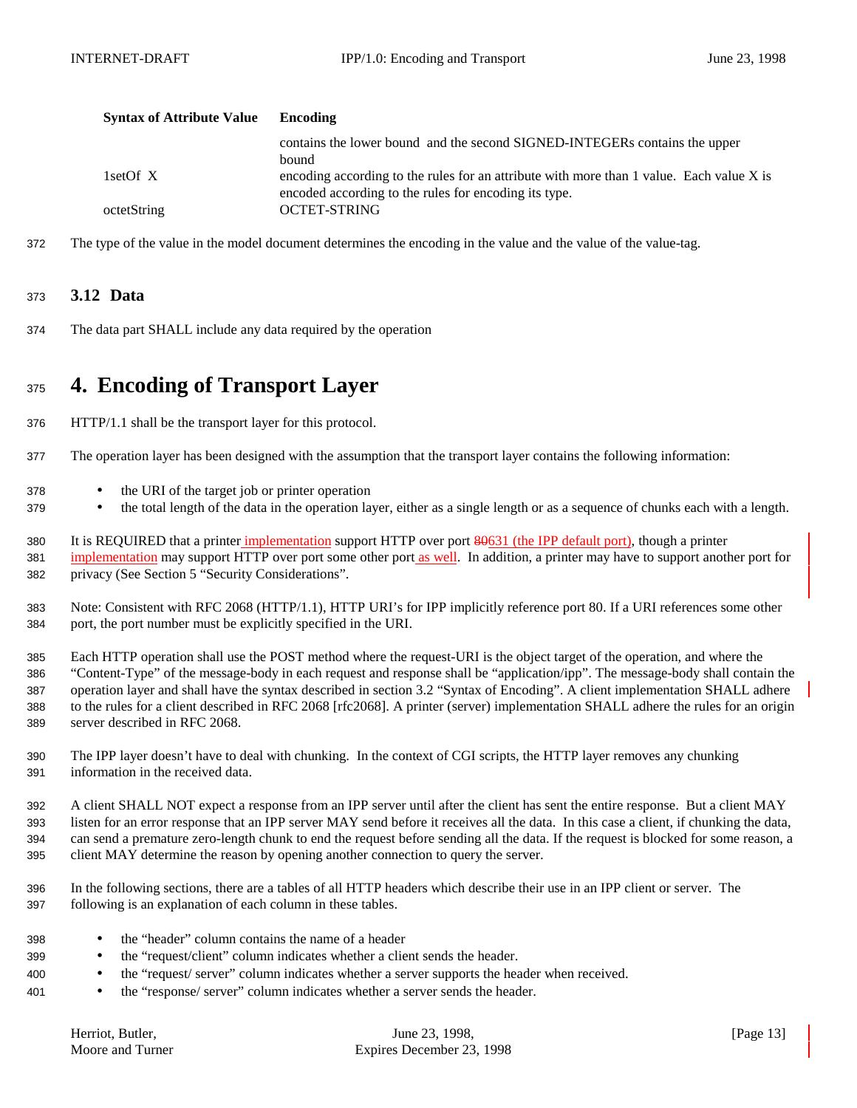| <b>Syntax of Attribute Value</b> | Encoding                                                                                                                                          |
|----------------------------------|---------------------------------------------------------------------------------------------------------------------------------------------------|
|                                  | contains the lower bound and the second SIGNED-INTEGERs contains the upper<br><b>bound</b>                                                        |
| 1setOf X                         | encoding according to the rules for an attribute with more than 1 value. Each value X is<br>encoded according to the rules for encoding its type. |
| octetString                      | <b>OCTET-STRING</b>                                                                                                                               |

The type of the value in the model document determines the encoding in the value and the value of the value-tag.

## **3.12 Data**

The data part SHALL include any data required by the operation

## **4. Encoding of Transport Layer**

- HTTP/1.1 shall be the transport layer for this protocol.
- The operation layer has been designed with the assumption that the transport layer contains the following information:
- the URI of the target job or printer operation
- <sup>379</sup> the total length of the data in the operation layer, either as a single length or as a sequence of chunks each with a length.
- 380 It is REQUIRED that a printer implementation support HTTP over port 80631 (the IPP default port), though a printer 381 implementation may support HTTP over port some other port as well. In addition, a printer may have to support another port for privacy (See Section 5 "Security Considerations".
- Note: Consistent with RFC 2068 (HTTP/1.1), HTTP URI's for IPP implicitly reference port 80. If a URI references some other port, the port number must be explicitly specified in the URI.
- Each HTTP operation shall use the POST method where the request-URI is the object target of the operation, and where the "Content-Type" of the message-body in each request and response shall be "application/ipp". The message-body shall contain the operation layer and shall have the syntax described in section 3.2 "Syntax of Encoding". A client implementation SHALL adhere to the rules for a client described in RFC 2068 [rfc2068]. A printer (server) implementation SHALL adhere the rules for an origin server described in RFC 2068.
- The IPP layer doesn't have to deal with chunking. In the context of CGI scripts, the HTTP layer removes any chunking information in the received data.
- A client SHALL NOT expect a response from an IPP server until after the client has sent the entire response. But a client MAY listen for an error response that an IPP server MAY send before it receives all the data. In this case a client, if chunking the data, can send a premature zero-length chunk to end the request before sending all the data. If the request is blocked for some reason, a client MAY determine the reason by opening another connection to query the server.
- In the following sections, there are a tables of all HTTP headers which describe their use in an IPP client or server. The following is an explanation of each column in these tables.
- the "header" column contains the name of a header
- the "request/client" column indicates whether a client sends the header.
- the "request/ server" column indicates whether a server supports the header when received.
- the "response/ server" column indicates whether a server sends the header.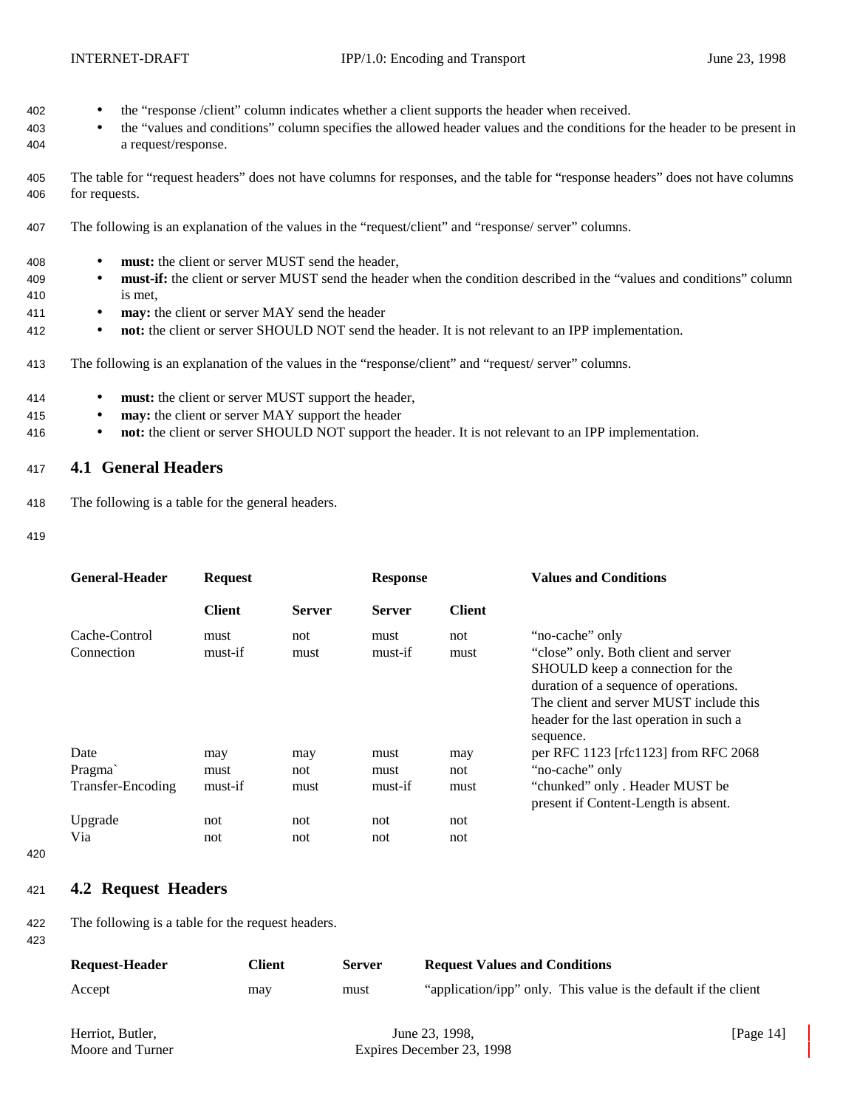- 402 the "response /client" column indicates whether a client supports the header when received.
- 403 the "values and conditions" column specifies the allowed header values and the conditions for the header to be present in 404 a request/response.
- 405 The table for "request headers" does not have columns for responses, and the table for "response headers" does not have columns 406 for requests.
- 407 The following is an explanation of the values in the "request/client" and "response/ server" columns.
- 408 **must:** the client or server MUST send the header,
- 409 **must-if:** the client or server MUST send the header when the condition described in the "values and conditions" column 410 is met,
- 411 **may:** the client or server MAY send the header
- 412 **not:** the client or server SHOULD NOT send the header. It is not relevant to an IPP implementation.
- 413 The following is an explanation of the values in the "response/client" and "request/ server" columns.
- 414 **must:** the client or server MUST support the header,
- 415 **may:** the client or server MAY support the header
- 416 **not:** the client or server SHOULD NOT support the header. It is not relevant to an IPP implementation.

## <sup>417</sup> **4.1 General Headers**

- 418 The following is a table for the general headers.
- 419

| <b>General-Header</b>               | <b>Request</b>         |                    | <b>Response</b>         |                    | <b>Values and Conditions</b>                                                                                                                                                                                                            |
|-------------------------------------|------------------------|--------------------|-------------------------|--------------------|-----------------------------------------------------------------------------------------------------------------------------------------------------------------------------------------------------------------------------------------|
|                                     | <b>Client</b>          | <b>Server</b>      | <b>Server</b>           | <b>Client</b>      |                                                                                                                                                                                                                                         |
| Cache-Control<br>Connection         | must<br>must-if        | not<br>must        | must<br>must-if         | not<br>must        | "no-cache" only<br>"close" only. Both client and server<br>SHOULD keep a connection for the<br>duration of a sequence of operations.<br>The client and server MUST include this<br>header for the last operation in such a<br>sequence. |
| Date<br>Pragma<br>Transfer-Encoding | may<br>must<br>must-if | may<br>not<br>must | must<br>must<br>must-if | may<br>not<br>must | per RFC 1123 [rfc1123] from RFC 2068<br>"no-cache" only<br>"chunked" only. Header MUST be<br>present if Content-Length is absent.                                                                                                       |
| Upgrade<br>Via                      | not<br>not             | not<br>not         | not<br>not              | not<br>not         |                                                                                                                                                                                                                                         |

420

## <sup>421</sup> **4.2 Request Headers**

422 The following is a table for the request headers.

423

| <b>Request-Header</b> | Client | <b>Server</b> | <b>Request Values and Conditions</b>                            |
|-----------------------|--------|---------------|-----------------------------------------------------------------|
| Accept                | may    | must          | "application/ipp" only. This value is the default if the client |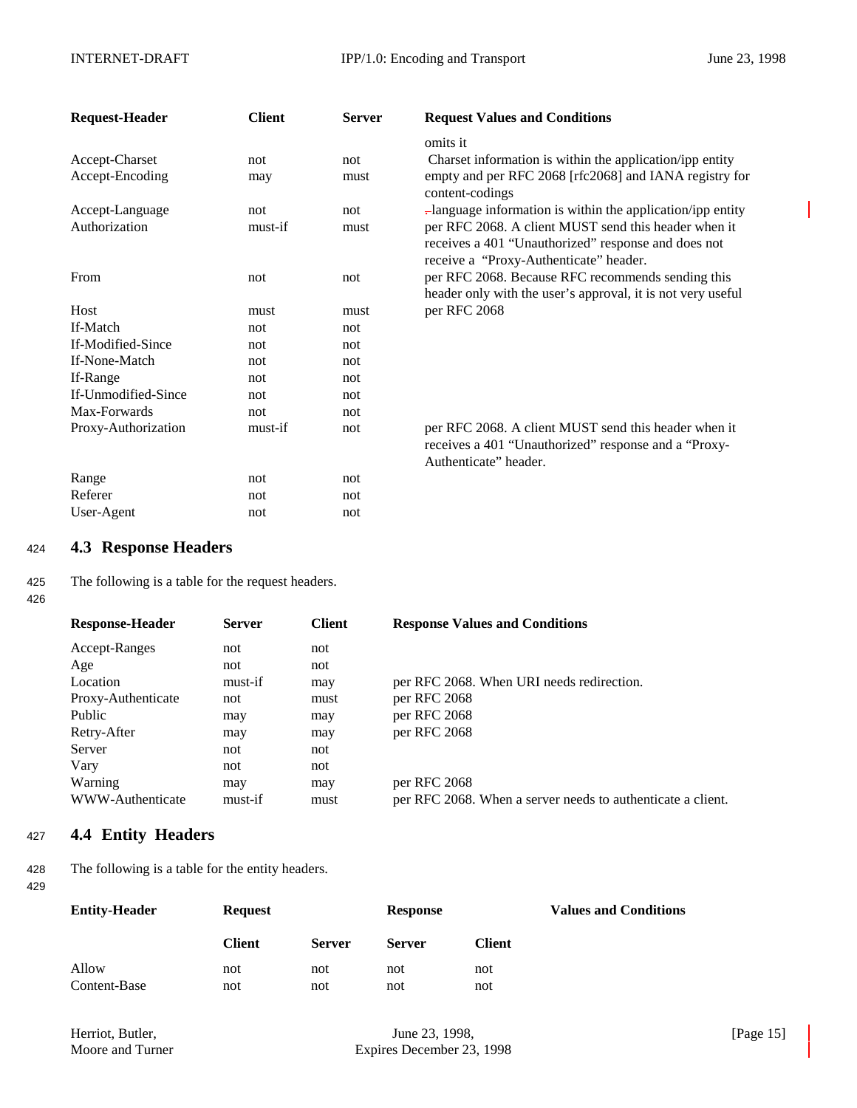| <b>Request-Header</b> | <b>Client</b> | <b>Server</b> | <b>Request Values and Conditions</b>                                                                                                                  |
|-----------------------|---------------|---------------|-------------------------------------------------------------------------------------------------------------------------------------------------------|
|                       |               |               | omits it                                                                                                                                              |
| Accept-Charset        | not           | not           | Charset information is within the application/ipp entity                                                                                              |
| Accept-Encoding       | may           | must          | empty and per RFC 2068 [rfc2068] and IANA registry for<br>content-codings                                                                             |
| Accept-Language       | not           | not           | -language information is within the application/ipp entity                                                                                            |
| Authorization         | must-if       | must          | per RFC 2068. A client MUST send this header when it<br>receives a 401 "Unauthorized" response and does not<br>receive a "Proxy-Authenticate" header. |
| From                  | not           | not           | per RFC 2068. Because RFC recommends sending this<br>header only with the user's approval, it is not very useful                                      |
| Host                  | must          | must          | per RFC 2068                                                                                                                                          |
| If-Match              | not           | not           |                                                                                                                                                       |
| If-Modified-Since     | not           | not           |                                                                                                                                                       |
| If-None-Match         | not           | not           |                                                                                                                                                       |
| If-Range              | not           | not           |                                                                                                                                                       |
| If-Unmodified-Since   | not           | not           |                                                                                                                                                       |
| Max-Forwards          | not           | not           |                                                                                                                                                       |
| Proxy-Authorization   | must-if       | not           | per RFC 2068. A client MUST send this header when it<br>receives a 401 "Unauthorized" response and a "Proxy-<br>Authenticate" header.                 |
| Range                 | not           | not           |                                                                                                                                                       |
| Referer               | not           | not           |                                                                                                                                                       |
| User-Agent            | not           | not           |                                                                                                                                                       |

## <sup>424</sup> **4.3 Response Headers**

425 The following is a table for the request headers.

426

| <b>Response-Header</b> | <b>Server</b> | <b>Client</b> | <b>Response Values and Conditions</b>                       |
|------------------------|---------------|---------------|-------------------------------------------------------------|
| Accept-Ranges          | not           | not           |                                                             |
| Age                    | not           | not           |                                                             |
| Location               | must-if       | may           | per RFC 2068. When URI needs redirection.                   |
| Proxy-Authenticate     | not           | must          | per RFC 2068                                                |
| Public                 | may           | may           | per RFC 2068                                                |
| Retry-After            | may           | may           | per RFC 2068                                                |
| Server                 | not           | not           |                                                             |
| Vary                   | not           | not           |                                                             |
| Warning                | may           | may           | per RFC 2068                                                |
| WWW-Authenticate       | must-if       | must          | per RFC 2068. When a server needs to authenticate a client. |
|                        |               |               |                                                             |

## <sup>427</sup> **4.4 Entity Headers**

428 The following is a table for the entity headers. 429

| <b>Entity-Header</b>  | <b>Request</b> |               | <b>Response</b> |            | <b>Values and Conditions</b> |
|-----------------------|----------------|---------------|-----------------|------------|------------------------------|
|                       | <b>Client</b>  | <b>Server</b> | <b>Server</b>   | Client     |                              |
| Allow<br>Content-Base | not<br>not     | not<br>not    | not<br>not      | not<br>not |                              |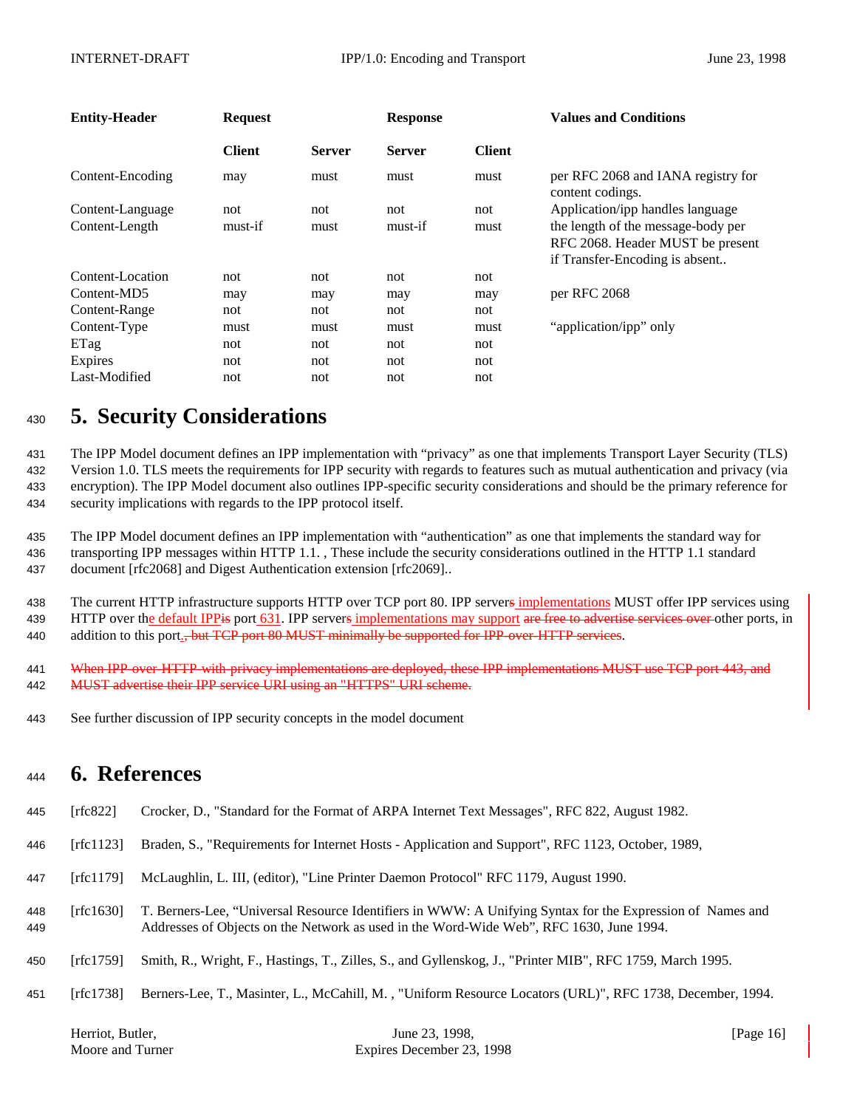| <b>Entity-Header</b> | <b>Request</b> |               | <b>Response</b> |               | <b>Values and Conditions</b>                                                                             |
|----------------------|----------------|---------------|-----------------|---------------|----------------------------------------------------------------------------------------------------------|
|                      | <b>Client</b>  | <b>Server</b> | <b>Server</b>   | <b>Client</b> |                                                                                                          |
| Content-Encoding     | may            | must          | must            | must          | per RFC 2068 and IANA registry for<br>content codings.                                                   |
| Content-Language     | not            | not           | not             | not           | Application/ipp handles language                                                                         |
| Content-Length       | must-if        | must          | must-if         | must          | the length of the message-body per<br>RFC 2068. Header MUST be present<br>if Transfer-Encoding is absent |
| Content-Location     | not            | not           | not             | not           |                                                                                                          |
| Content-MD5          | may            | may           | may             | may           | per RFC 2068                                                                                             |
| Content-Range        | not            | not           | not             | not           |                                                                                                          |
| Content-Type         | must           | must          | must            | must          | "application/ipp" only                                                                                   |
| ETag                 | not            | not           | not             | not           |                                                                                                          |
| Expires              | not            | not           | not             | not           |                                                                                                          |
| Last-Modified        | not            | not           | not             | not           |                                                                                                          |

# <sup>430</sup> **5. Security Considerations**

 The IPP Model document defines an IPP implementation with "privacy" as one that implements Transport Layer Security (TLS) Version 1.0. TLS meets the requirements for IPP security with regards to features such as mutual authentication and privacy (via encryption). The IPP Model document also outlines IPP-specific security considerations and should be the primary reference for security implications with regards to the IPP protocol itself.

435 The IPP Model document defines an IPP implementation with "authentication" as one that implements the standard way for 436 transporting IPP messages within HTTP 1.1. , These include the security considerations outlined in the HTTP 1.1 standard 437 document [rfc2068] and Digest Authentication extension [rfc2069]..

438 The current HTTP infrastructure supports HTTP over TCP port 80. IPP servers implementations MUST offer IPP services using 439 HTTP over the default IPP is port 631. IPP servers implementations may support are free to advertise services over other ports, in 440 addition to this port., but TCP port 80 MUST minimally be supported for IPP-over-HTTP services.

- 441 When IPP-over-HTTP-with-privacy implementations are deployed, these IPP implementations MUST use TCP port 443, and 442 MUST advertise their IPP service URI using an "HTTPS" URI scheme.
- 443 See further discussion of IPP security concepts in the model document

## <sup>444</sup> **6. References**

- 445 [rfc822] Crocker, D., "Standard for the Format of ARPA Internet Text Messages", RFC 822, August 1982.
- 446 [rfc1123] Braden, S., "Requirements for Internet Hosts Application and Support", RFC 1123, October, 1989,
- 447 [rfc1179] McLaughlin, L. III, (editor), "Line Printer Daemon Protocol" RFC 1179, August 1990.
- 448 [rfc1630] T. Berners-Lee, "Universal Resource Identifiers in WWW: A Unifying Syntax for the Expression of Names and 449 Addresses of Objects on the Network as used in the Word-Wide Web", RFC 1630, June 1994.
- 450 [rfc1759] Smith, R., Wright, F., Hastings, T., Zilles, S., and Gyllenskog, J., "Printer MIB", RFC 1759, March 1995.
- 451 [rfc1738] Berners-Lee, T., Masinter, L., McCahill, M. , "Uniform Resource Locators (URL)", RFC 1738, December, 1994.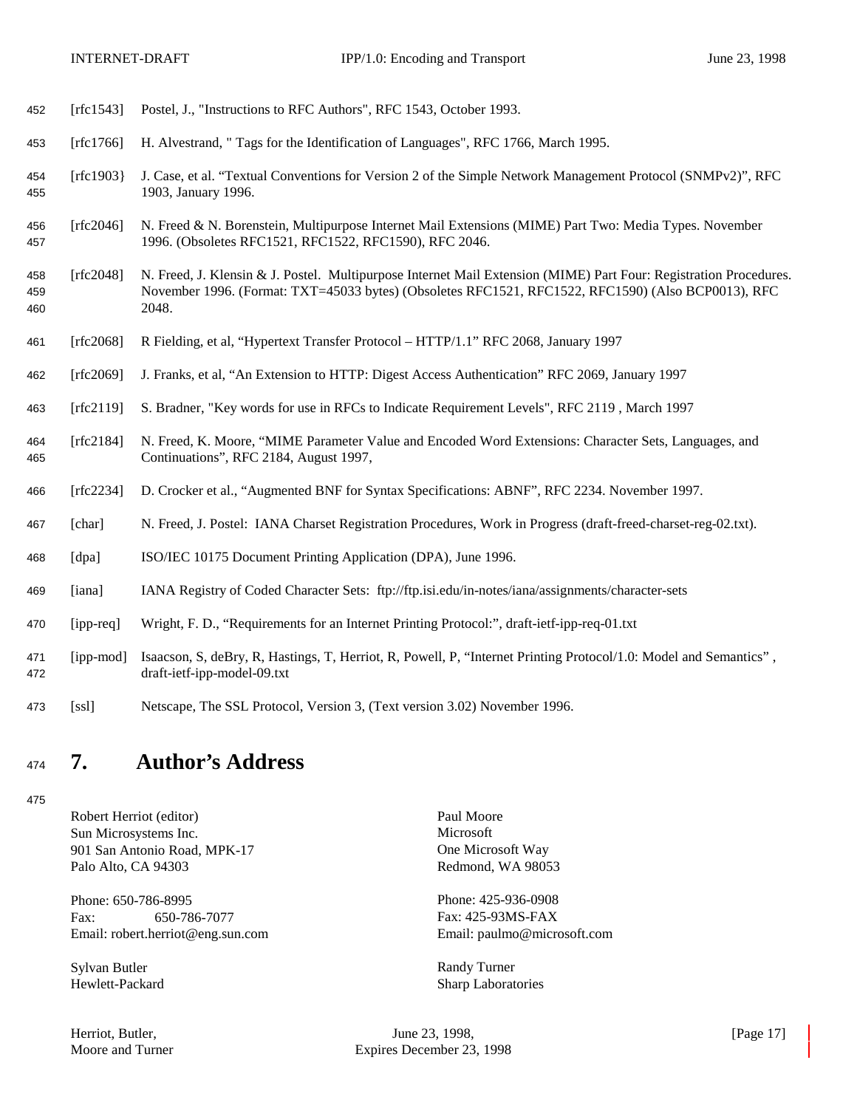| 452               | [rfc1543]     | Postel, J., "Instructions to RFC Authors", RFC 1543, October 1993.                                                                                                                                                               |
|-------------------|---------------|----------------------------------------------------------------------------------------------------------------------------------------------------------------------------------------------------------------------------------|
| 453               | [rfc1766]     | H. Alvestrand, " Tags for the Identification of Languages", RFC 1766, March 1995.                                                                                                                                                |
| 454<br>455        | [ $rfc1903$ ] | J. Case, et al. "Textual Conventions for Version 2 of the Simple Network Management Protocol (SNMPv2)", RFC<br>1903, January 1996.                                                                                               |
| 456<br>457        | [rfc2046]     | N. Freed & N. Borenstein, Multipurpose Internet Mail Extensions (MIME) Part Two: Media Types. November<br>1996. (Obsoletes RFC1521, RFC1522, RFC1590), RFC 2046.                                                                 |
| 458<br>459<br>460 | [rfc2048]     | N. Freed, J. Klensin & J. Postel. Multipurpose Internet Mail Extension (MIME) Part Four: Registration Procedures.<br>November 1996. (Format: TXT=45033 bytes) (Obsoletes RFC1521, RFC1522, RFC1590) (Also BCP0013), RFC<br>2048. |
| 461               | [rfc2068]     | R Fielding, et al, "Hypertext Transfer Protocol - HTTP/1.1" RFC 2068, January 1997                                                                                                                                               |
| 462               | [rfc2069]     | J. Franks, et al, "An Extension to HTTP: Digest Access Authentication" RFC 2069, January 1997                                                                                                                                    |
| 463               | [rfc2119]     | S. Bradner, "Key words for use in RFCs to Indicate Requirement Levels", RFC 2119, March 1997                                                                                                                                     |
| 464<br>465        | [rfc2184]     | N. Freed, K. Moore, "MIME Parameter Value and Encoded Word Extensions: Character Sets, Languages, and<br>Continuations", RFC 2184, August 1997,                                                                                  |
| 466               | [rfc2234]     | D. Crocker et al., "Augmented BNF for Syntax Specifications: ABNF", RFC 2234. November 1997.                                                                                                                                     |
| 467               | [char]        | N. Freed, J. Postel: IANA Charset Registration Procedures, Work in Progress (draft-freed-charset-reg-02.txt).                                                                                                                    |
| 468               | [dpa]         | ISO/IEC 10175 Document Printing Application (DPA), June 1996.                                                                                                                                                                    |
| 469               | [iana]        | IANA Registry of Coded Character Sets: ftp://ftp.isi.edu/in-notes/iana/assignments/character-sets                                                                                                                                |
| 470               | [ipp-req]     | Wright, F. D., "Requirements for an Internet Printing Protocol:", draft-ietf-ipp-req-01.txt                                                                                                                                      |
| 471<br>472        | [ipp-mod]     | Isaacson, S, deBry, R, Hastings, T, Herriot, R, Powell, P, "Internet Printing Protocol/1.0: Model and Semantics",<br>draft-ietf-ipp-model-09.txt                                                                                 |
| 473               | [ssl]         | Netscape, The SSL Protocol, Version 3, (Text version 3.02) November 1996.                                                                                                                                                        |

# **7. Author's Address**

Robert Herriot (editor) Paul Moore<br>
Sun Microsystems Inc. Microsoft Sun Microsystems Inc. 901 San Antonio Road, MPK-17 One Microsoft Way Palo Alto, CA 94303 Redmond, WA 98053

Phone: 650-786-8995 Phone: 425-936-0908 Fax: 650-786-7077 Fax: 425-93MS-FAX<br>Email: robert.herriot@eng.sun.com Email: paulmo@microsoft.com Email: robert.herriot@eng.sun.com

Sylvan Butler Randy Turner

Hewlett-Packard Sharp Laboratories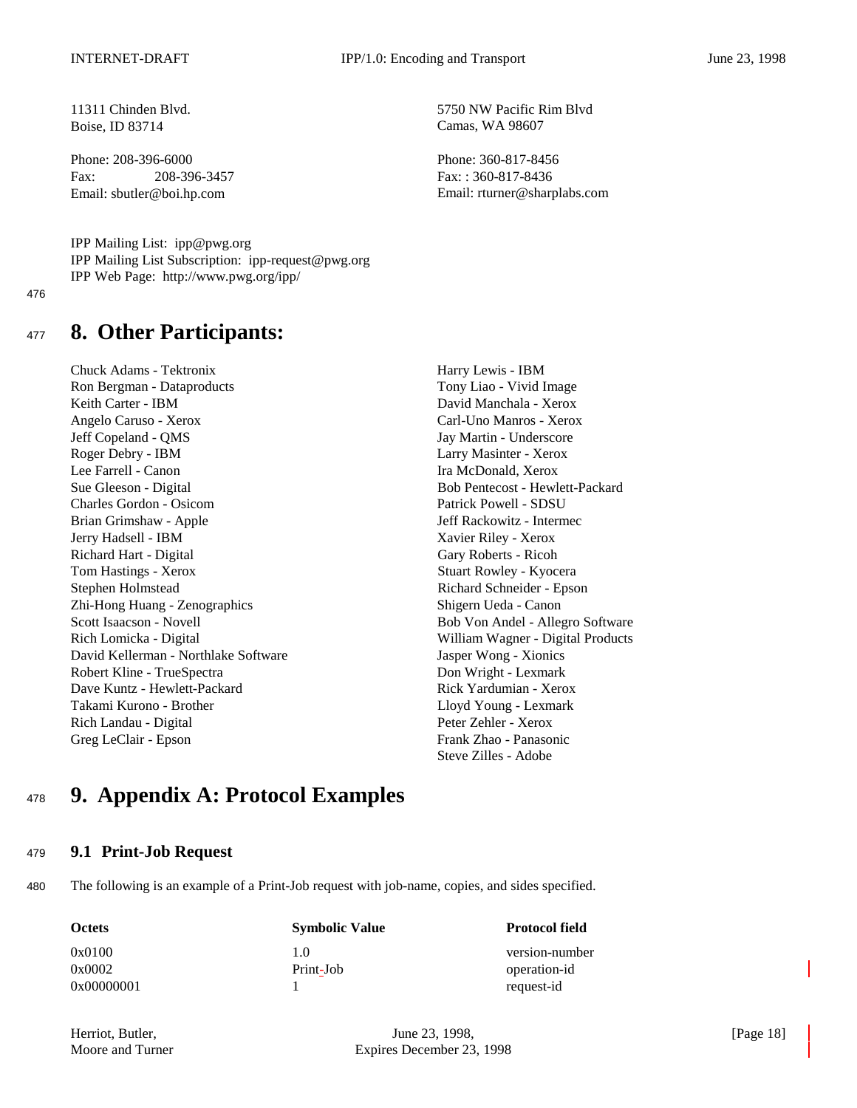11311 Chinden Blvd. 5750 NW Pacific Rim Blvd Boise, ID 83714 Camas, WA 98607

Phone: 208-396-6000 Phone: 208-396-6000 Phone: 208-317-8456 Fax: 208-396-3457 Fax: : 360-817-8436

Email: sbutler@boi.hp.com Email: rturner@sharplabs.com

IPP Mailing List: ipp@pwg.org IPP Mailing List Subscription: ipp-request@pwg.org IPP Web Page: http://www.pwg.org/ipp/

476

## <sup>477</sup> **8. Other Participants:**

Chuck Adams - Tektronix Harry Lewis - IBM Ron Bergman - Dataproducts Tony Liao - Vivid Image Keith Carter - IBM David Manchala - Xerox Angelo Caruso - Xerox Carl-Uno Manros - Xerox Jeff Copeland - QMS Jay Martin - Underscore Roger Debry - IBM Larry Masinter - Xerox Lee Farrell - Canon **Ira McDonald, Xerox** Ira McDonald, Xerox Sue Gleeson - Digital Bob Pentecost - Hewlett-Packard Charles Gordon - Osicom Patrick Powell - SDSU Brian Grimshaw - Apple Jeff Rackowitz - Intermec Jerry Hadsell - IBM Xavier Riley - Xerox Richard Hart - Digital Gary Roberts - Ricoh Tom Hastings - Xerox Stuart Rowley - Kyocera Stephen Holmstead Richard Schneider - Epson Zhi-Hong Huang - Zenographics Shigern Ueda - Canon Scott Isaacson - Novell Bob Von Andel - Allegro Software Rich Lomicka - Digital William Wagner - Digital Products David Kellerman - Northlake Software Jasper Wong - Xionics Robert Kline - TrueSpectra **Don Wright - Lexmark** Dave Kuntz - Hewlett-Packard **Rick Yardumian - Xerox** Rick Yardumian - Xerox Takami Kurono - Brother Lloyd Young - Lexmark Rich Landau - Digital Peter Zehler - Xerox Greg LeClair - Epson Frank Zhao - Panasonic

Steve Zilles - Adobe

# <sup>478</sup> **9. Appendix A: Protocol Examples**

### <sup>479</sup> **9.1 Print-Job Request**

480 The following is an example of a Print-Job request with job-name, copies, and sides specified.

0x00000001 1 request-id

**Octets Symbolic Value Protocol field** 

0x0100 1.0 version-number 0x0002 Print-Job operation-id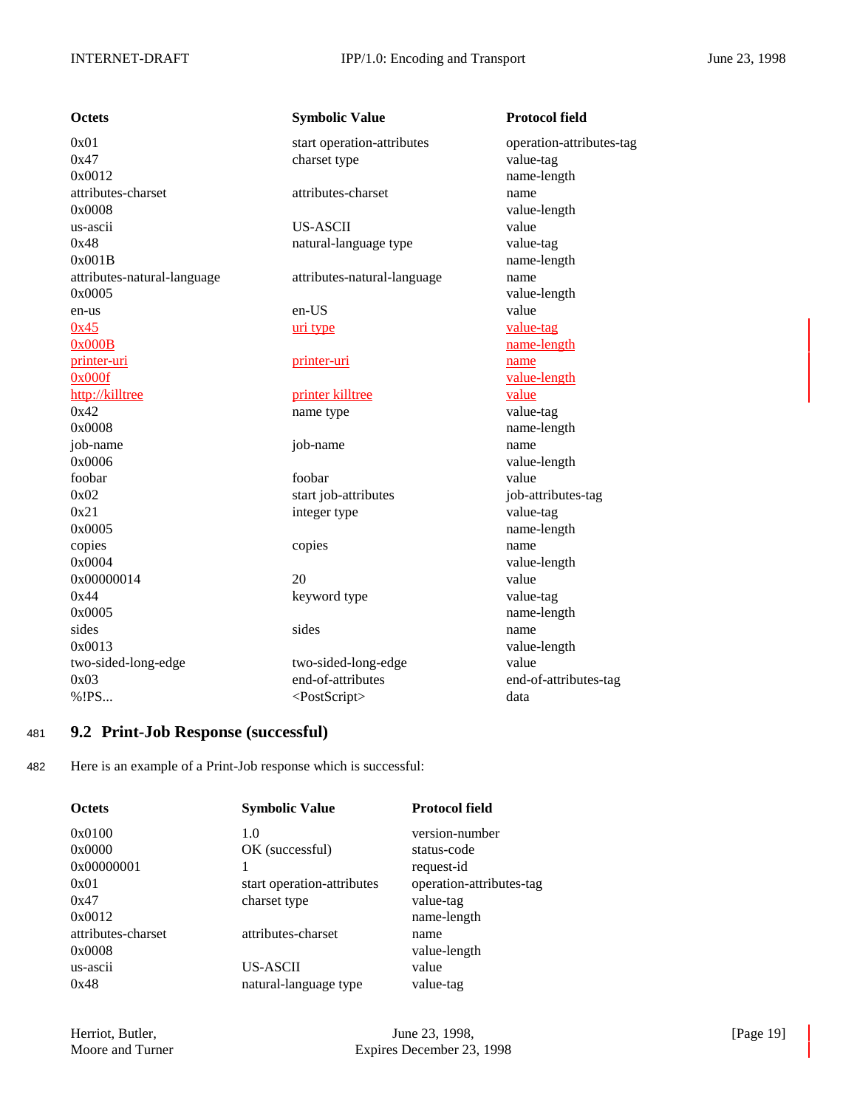| <b>Octets</b>               | Symbolic Value              | Protocol field         |
|-----------------------------|-----------------------------|------------------------|
| 0x01                        | start operation-attributes  | operation-attributes-t |
| 0x47                        | charset type                | value-tag              |
| 0x0012                      |                             | name-length            |
| attributes-charset          | attributes-charset          | name                   |
| 0x0008                      |                             | value-length           |
| us-ascii                    | <b>US-ASCII</b>             | value                  |
| 0x48                        | natural-language type       | value-tag              |
| 0x001B                      |                             | name-length            |
| attributes-natural-language | attributes-natural-language | name                   |
| 0x0005                      |                             | value-length           |
| en-us                       | en-US                       | value                  |
| 0x45                        | uri type                    | value-tag              |
| 0x000B                      |                             | name-length            |
| printer-uri                 | printer-uri                 | name                   |
| 0x000f                      |                             | value-length           |
| http://killtree             | printer killtree            | value                  |
| 0x42                        | name type                   | value-tag              |
| 0x0008                      |                             | name-length            |
| job-name                    | job-name                    | name                   |
| 0x0006                      |                             | value-length           |
| foobar                      | foobar                      | value                  |
| 0x02                        | start job-attributes        | job-attributes-tag     |
| 0x21                        | integer type                | value-tag              |
| 0x0005                      |                             | name-length            |
| copies                      | copies                      | name                   |
| 0x0004                      |                             | value-length           |
| 0x00000014                  | 20                          | value                  |
| 0x44                        | keyword type                | value-tag              |
| 0x0005                      |                             | name-length            |
| sides                       | sides                       | name                   |
| 0x0013                      |                             | value-length           |
| two-sided-long-edge         | two-sided-long-edge         | value                  |
| 0x03                        | end-of-attributes           | end-of-attributes-tag  |
| %!PS                        | <postscript></postscript>   | data                   |

# **Octets** Symbolic Value Protocol field 0x01 start operation-attributes operation-attributes-tag et type value-tag name-length attributes-charset attributes-charset name value-length al-language type value-tag name-length attributes-natural-language name value-length pe value-tag name-length value-length type value-tag name-length value-length ob-attributes job-attributes-tag er type value-tag name-length value-length ord type value-tag name-length

## <sup>481</sup> **9.2 Print-Job Response (successful)**

482 Here is an example of a Print-Job response which is successful:

| <b>Octets</b>      | <b>Symbolic Value</b>      | <b>Protocol field</b>    |
|--------------------|----------------------------|--------------------------|
| 0x0100             | 1.0                        | version-number           |
| 0x0000             | OK (successful)            | status-code              |
| 0x00000001         |                            | request-id               |
| 0x01               | start operation-attributes | operation-attributes-tag |
| 0x47               | charset type               | value-tag                |
| 0x0012             |                            | name-length              |
| attributes-charset | attributes-charset         | name                     |
| 0x0008             |                            | value-length             |
| us-ascii           | US-ASCII                   | value                    |
| 0x48               | natural-language type      | value-tag                |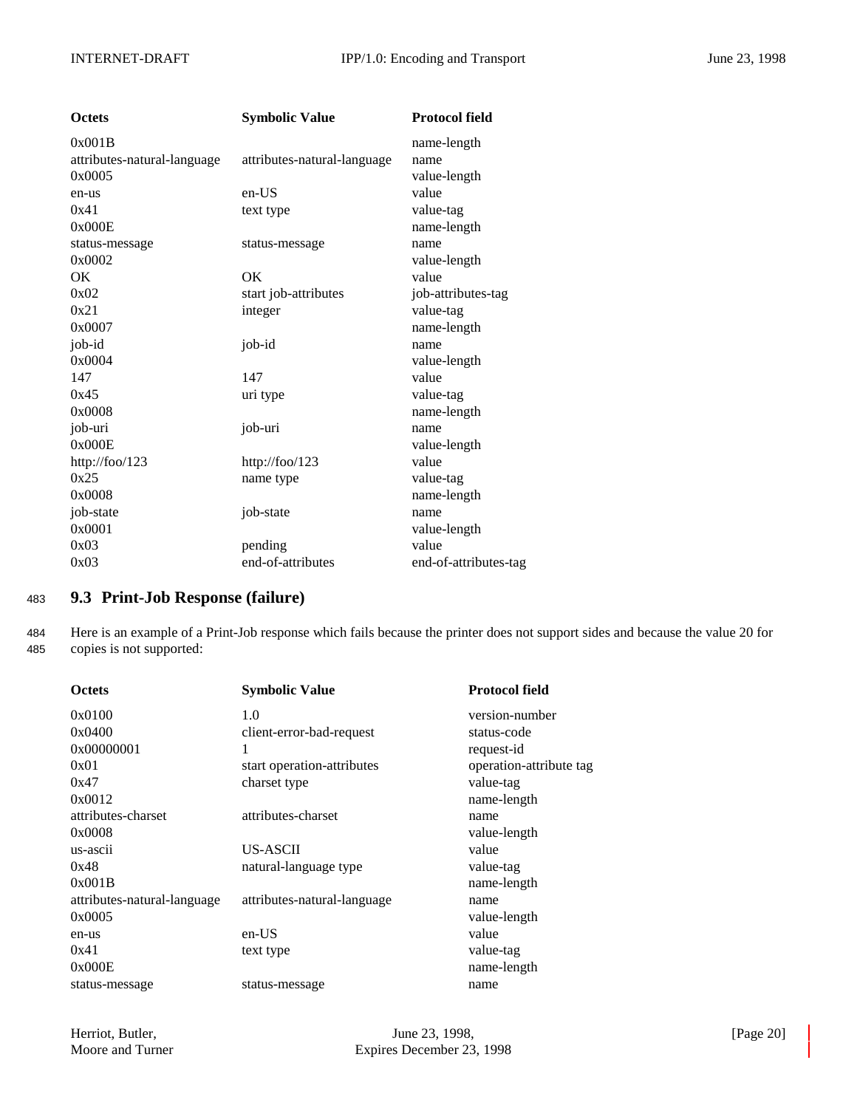| <b>Octets</b>               | <b>Symbolic Value</b>       | <b>Protocol field</b> |
|-----------------------------|-----------------------------|-----------------------|
| 0x001B                      |                             | name-length           |
| attributes-natural-language | attributes-natural-language | name                  |
| 0x0005                      |                             | value-length          |
| en-us                       | en-US                       | value                 |
| 0x41                        | text type                   | value-tag             |
| 0x000E                      |                             | name-length           |
| status-message              | status-message              | name                  |
| 0x0002                      |                             | value-length          |
| ОK                          | OK                          | value                 |
| 0x02                        | start job-attributes        | job-attributes-tag    |
| 0x21                        | integer                     | value-tag             |
| 0x0007                      |                             | name-length           |
| job-id                      | job-id                      | name                  |
| 0x0004                      |                             | value-length          |
| 147                         | 147                         | value                 |
| 0x45                        | uri type                    | value-tag             |
| 0x0008                      |                             | name-length           |
| job-uri                     | job-uri                     | name                  |
| 0x000E                      |                             | value-length          |
| http://foo/123              | http://foo/123              | value                 |
| 0x25                        | name type                   | value-tag             |
| 0x0008                      |                             | name-length           |
| job-state                   | job-state                   | name                  |
| 0x0001                      |                             | value-length          |
| 0x03                        | pending                     | value                 |
| 0x03                        | end-of-attributes           | end-of-attributes-tag |

## <sup>483</sup> **9.3 Print-Job Response (failure)**

484 Here is an example of a Print-Job response which fails because the printer does not support sides and because the value 20 for 485 copies is not supported:

| <b>Octets</b>               | <b>Symbolic Value</b>       | <b>Protocol field</b>   |
|-----------------------------|-----------------------------|-------------------------|
| 0x0100                      | 1.0                         | version-number          |
| 0x0400                      | client-error-bad-request    | status-code             |
| 0x00000001                  | 1                           | request-id              |
| 0x01                        | start operation-attributes  | operation-attribute tag |
| 0x47                        | charset type                | value-tag               |
| 0x0012                      |                             | name-length             |
| attributes-charset          | attributes-charset          | name                    |
| 0x0008                      |                             | value-length            |
| us-ascii                    | <b>US-ASCII</b>             | value                   |
| 0x48                        | natural-language type       | value-tag               |
| 0x001B                      |                             | name-length             |
| attributes-natural-language | attributes-natural-language | name                    |
| 0x0005                      |                             | value-length            |
| en-us                       | $en-US$                     | value                   |
| 0x41                        | text type                   | value-tag               |
| 0x000E                      |                             | name-length             |
| status-message              | status-message              | name                    |
|                             |                             |                         |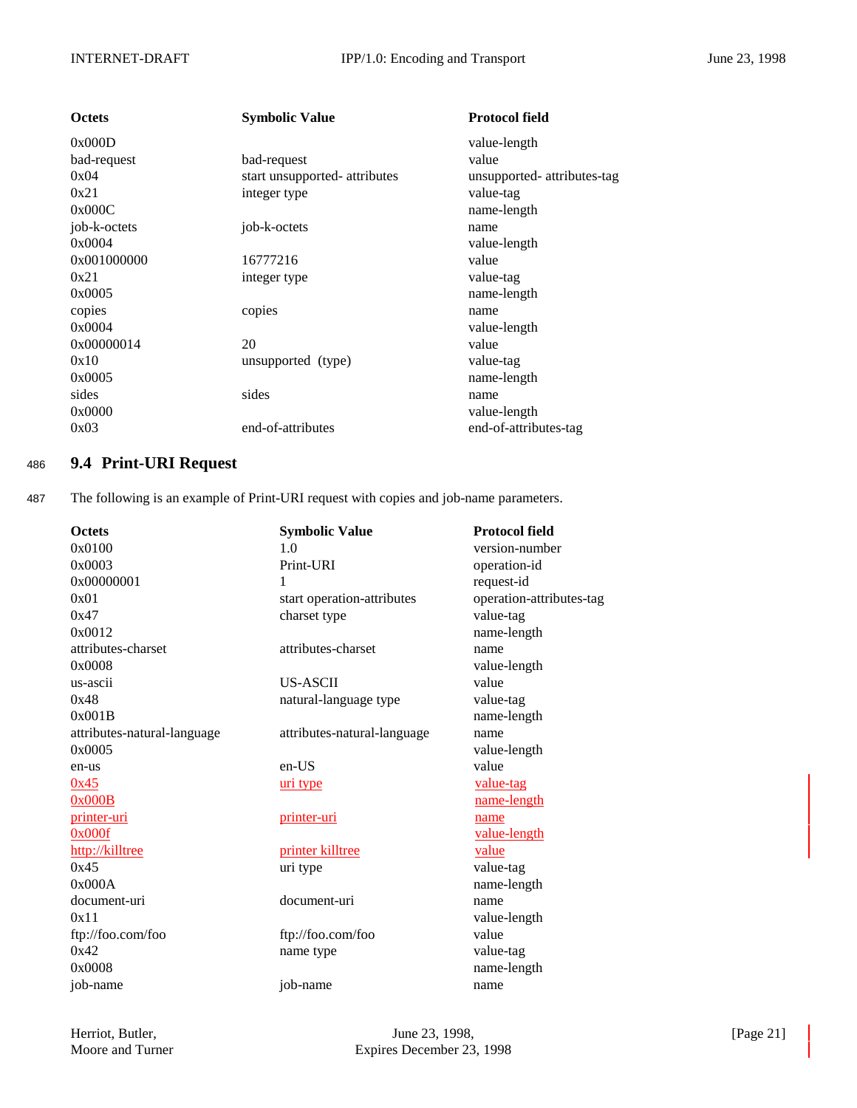| <b>Octets</b> | <b>Symbolic Value</b>         | <b>Protocol field</b>       |
|---------------|-------------------------------|-----------------------------|
| 0x000D        |                               | value-length                |
| bad-request   | bad-request                   | value                       |
| 0x04          | start unsupported- attributes | unsupported- attributes-tag |
| 0x21          | integer type                  | value-tag                   |
| 0x000C        |                               | name-length                 |
| job-k-octets  | job-k-octets                  | name                        |
| 0x0004        |                               | value-length                |
| 0x001000000   | 16777216                      | value                       |
| 0x21          | integer type                  | value-tag                   |
| 0x0005        |                               | name-length                 |
| copies        | copies                        | name                        |
| 0x0004        |                               | value-length                |
| 0x00000014    | 20                            | value                       |
| 0x10          | unsupported (type)            | value-tag                   |
| 0x0005        |                               | name-length                 |
| sides         | sides                         | name                        |
| 0x0000        |                               | value-length                |
| 0x03          | end-of-attributes             | end-of-attributes-tag       |
|               |                               |                             |

## <sup>486</sup> **9.4 Print-URI Request**

487 The following is an example of Print-URI request with copies and job-name parameters.

| <b>Octets</b>               | <b>Symbolic Value</b>       | <b>Protocol field</b>    |
|-----------------------------|-----------------------------|--------------------------|
| 0x0100                      | 1.0                         | version-number           |
| 0x0003                      | Print-URI                   | operation-id             |
| 0x00000001                  | 1                           | request-id               |
| 0x01                        | start operation-attributes  | operation-attributes-tag |
| 0x47                        | charset type                | value-tag                |
| 0x0012                      |                             | name-length              |
| attributes-charset          | attributes-charset          | name                     |
| 0x0008                      |                             | value-length             |
| us-ascii                    | <b>US-ASCII</b>             | value                    |
| 0x48                        | natural-language type       | value-tag                |
| 0x001B                      |                             | name-length              |
| attributes-natural-language | attributes-natural-language | name                     |
| 0x0005                      |                             | value-length             |
| en-us                       | $en-US$                     | value                    |
| 0x45                        | uri type                    | value-tag                |
| 0x000B                      |                             | name-length              |
| printer-uri                 | printer-uri                 | name                     |
| 0x000f                      |                             | value-length             |
| http://killtree             | printer killtree            | value                    |
| 0x45                        | uri type                    | value-tag                |
| 0x000A                      |                             | name-length              |
| document-uri                | document-uri                | name                     |
| 0x11                        |                             | value-length             |
| ftp://foo.com/foo           | ftp://foo.com/foo           | value                    |
| 0x42                        | name type                   | value-tag                |
| 0x0008                      |                             | name-length              |
| job-name                    | job-name                    | name                     |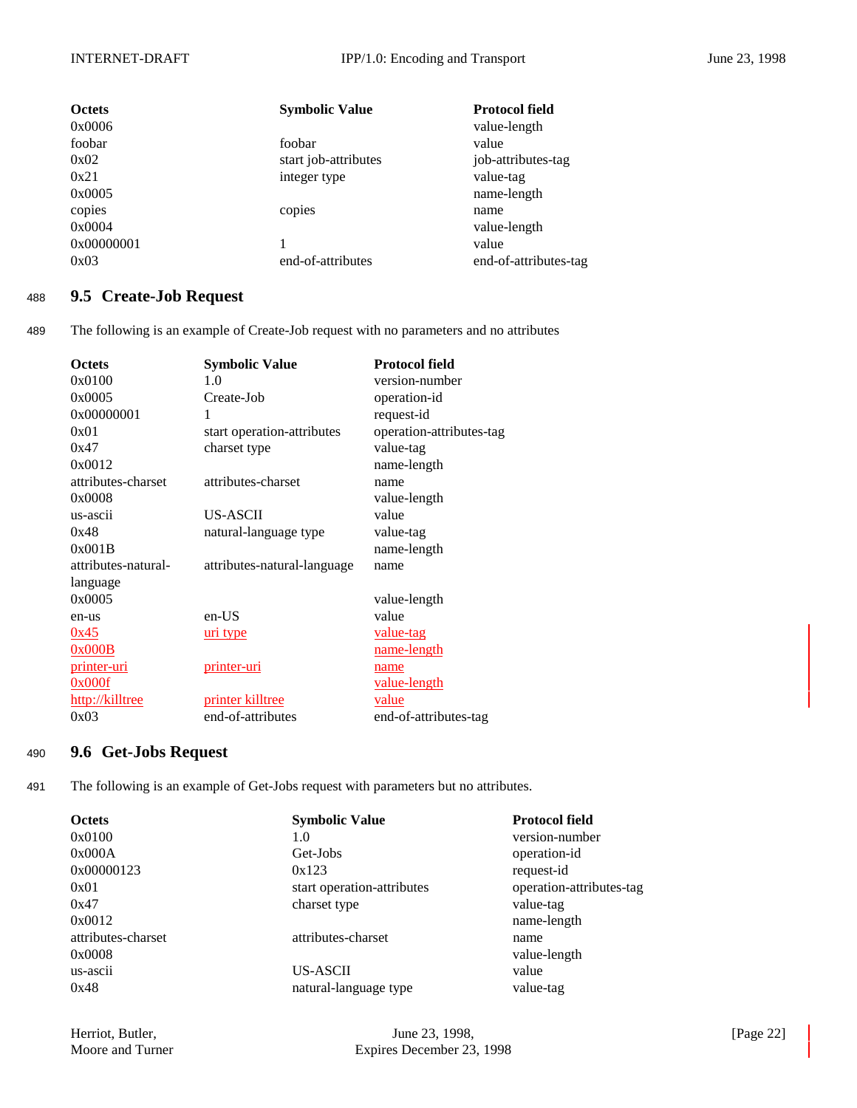| <b>Octets</b> | <b>Symbolic Value</b> | <b>Protocol field</b> |
|---------------|-----------------------|-----------------------|
| 0x0006        |                       | value-length          |
| foobar        | foobar                | value                 |
| 0x02          | start job-attributes  | job-attributes-tag    |
| 0x21          | integer type          | value-tag             |
| 0x0005        |                       | name-length           |
| copies        | copies                | name                  |
| 0x0004        |                       | value-length          |
| 0x00000001    |                       | value                 |
| 0x03          | end-of-attributes     | end-of-attributes-tag |

## <sup>488</sup> **9.5 Create-Job Request**

489 The following is an example of Create-Job request with no parameters and no attributes

| <b>Octets</b>       | <b>Symbolic Value</b>       | <b>Protocol field</b>    |
|---------------------|-----------------------------|--------------------------|
| 0x0100              | 1.0                         | version-number           |
| 0x0005              | Create-Job                  | operation-id             |
| 0x00000001          | 1                           | request-id               |
| 0x01                | start operation-attributes  | operation-attributes-tag |
| 0x47                | charset type                | value-tag                |
| 0x0012              |                             | name-length              |
| attributes-charset  | attributes-charset          | name                     |
| 0x0008              |                             | value-length             |
| us-ascii            | <b>US-ASCII</b>             | value                    |
| 0x48                | natural-language type       | value-tag                |
| 0x001B              |                             | name-length              |
| attributes-natural- | attributes-natural-language | name                     |
| language            |                             |                          |
| 0x0005              |                             | value-length             |
| en-us               | en-US                       | value                    |
| 0x45                | <u>uri type</u>             | <u>value-tag</u>         |
| 0x000B              |                             | <u>name-length</u>       |
| <u>printer-uri</u>  | <u>printer-uri</u>          | name                     |
| 0x000f              |                             | value-length             |
| http://killtree     | printer killtree            | value                    |
| 0x03                | end-of-attributes           | end-of-attributes-tag    |

## <sup>490</sup> **9.6 Get-Jobs Request**

491 The following is an example of Get-Jobs request with parameters but no attributes.

| <b>Octets</b>      | <b>Symbolic Value</b>      | <b>Protocol field</b>    |
|--------------------|----------------------------|--------------------------|
| 0x0100             | 1.0                        | version-number           |
| 0x000A             | Get-Jobs                   | operation-id             |
| 0x00000123         | 0x123                      | request-id               |
| 0x01               | start operation-attributes | operation-attributes-tag |
| 0x47               | charset type               | value-tag                |
| 0x0012             |                            | name-length              |
| attributes-charset | attributes-charset         | name                     |
| 0x0008             |                            | value-length             |
| us-ascii           | US-ASCII                   | value                    |
| 0x48               | natural-language type      | value-tag                |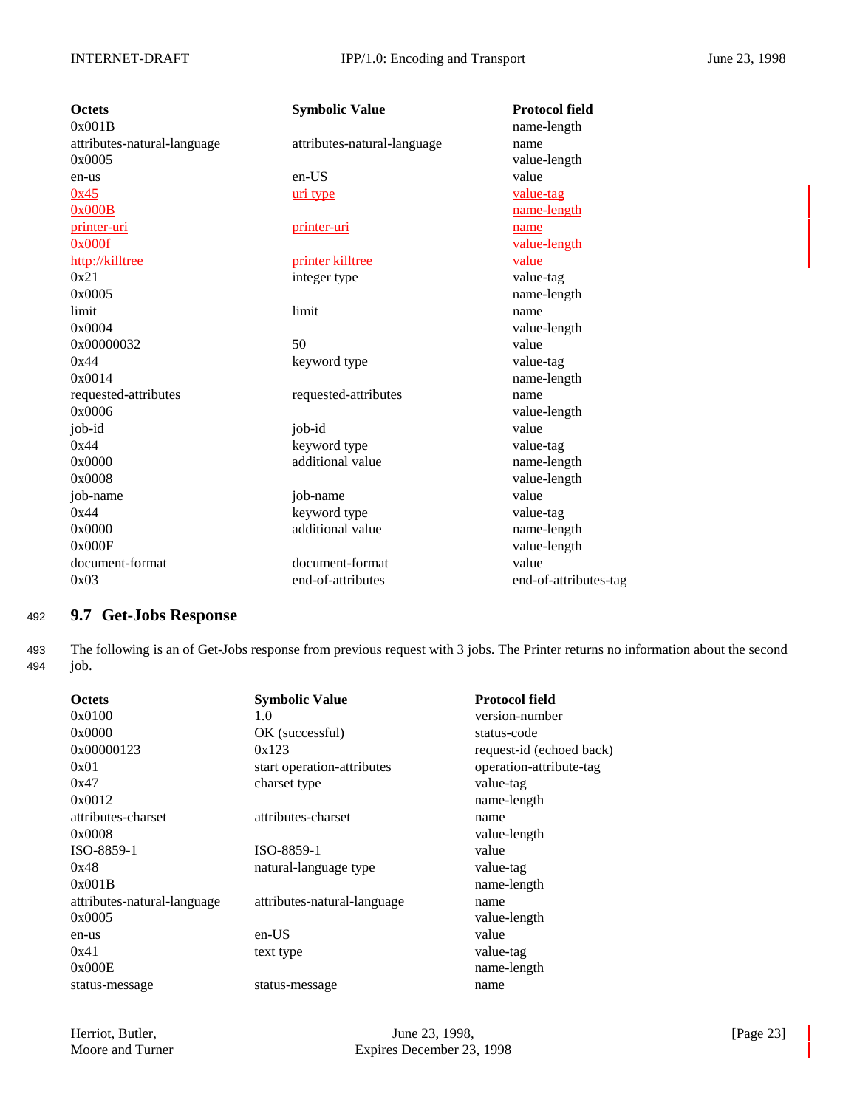| <b>Octets</b>               | <b>Symbolic Value</b>       | <b>Protocol field</b> |
|-----------------------------|-----------------------------|-----------------------|
| 0x001B                      |                             | name-length           |
| attributes-natural-language | attributes-natural-language | name                  |
| 0x0005                      |                             | value-length          |
| en-us                       | en-US                       | value                 |
| 0x45                        | uri type                    | value-tag             |
| 0x000B                      |                             | name-length           |
| printer-uri                 | printer-uri                 | name                  |
| 0x000f                      |                             | value-length          |
| http://killtree             | printer killtree            | value                 |
| 0x21                        | integer type                | value-tag             |
| 0x0005                      |                             | name-length           |
| limit                       | limit                       | name                  |
| 0x0004                      |                             | value-length          |
| 0x00000032                  | 50                          | value                 |
| 0x44                        | keyword type                | value-tag             |
| 0x0014                      |                             | name-length           |
| requested-attributes        | requested-attributes        | name                  |
| 0x0006                      |                             | value-length          |
| job-id                      | job-id                      | value                 |
| 0x44                        | keyword type                | value-tag             |
| 0x0000                      | additional value            | name-length           |
| 0x0008                      |                             | value-length          |
| job-name                    | job-name                    | value                 |
| 0x44                        | keyword type                | value-tag             |
| 0x0000                      | additional value            | name-length           |
| 0x000F                      |                             | value-length          |
| document-format             | document-format             | value                 |
| 0x03                        | end-of-attributes           | end-of-attributes-tag |

## <sup>492</sup> **9.7 Get-Jobs Response**

493 The following is an of Get-Jobs response from previous request with 3 jobs. The Printer returns no information about the second 494 job.

| <b>Octets</b>               | <b>Symbolic Value</b>       | <b>Protocol field</b>    |
|-----------------------------|-----------------------------|--------------------------|
| 0x0100                      | 1.0                         | version-number           |
| 0x0000                      | OK (successful)             | status-code              |
| 0x00000123                  | 0x123                       | request-id (echoed back) |
| 0x01                        | start operation-attributes  | operation-attribute-tag  |
| 0x47                        | charset type                | value-tag                |
| 0x0012                      |                             | name-length              |
| attributes-charset          | attributes-charset          | name                     |
| 0x0008                      |                             | value-length             |
| ISO-8859-1                  | ISO-8859-1                  | value                    |
| 0x48                        | natural-language type       | value-tag                |
| 0x001B                      |                             | name-length              |
| attributes-natural-language | attributes-natural-language | name                     |
| 0x0005                      |                             | value-length             |
| en-us                       | en-US                       | value                    |
| 0x41                        | text type                   | value-tag                |
| 0x000E                      |                             | name-length              |
| status-message              | status-message              | name                     |
|                             |                             |                          |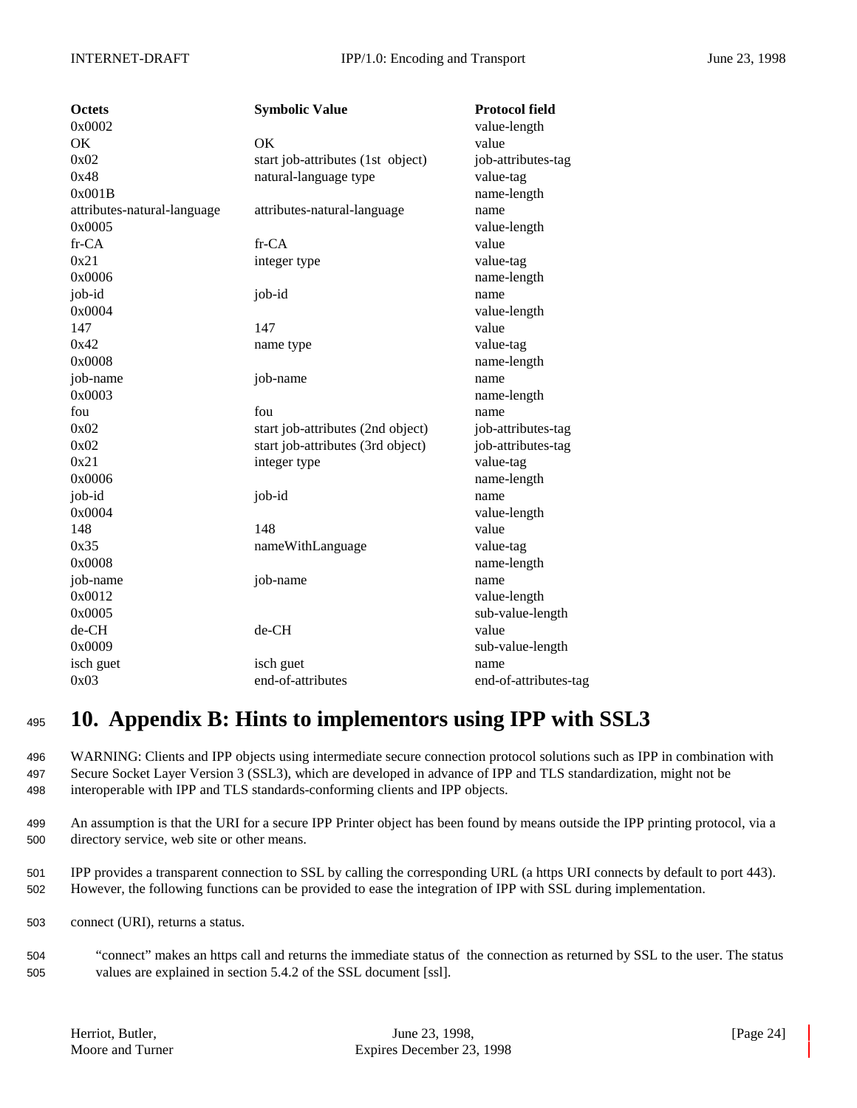| <b>Octets</b>               | <b>Symbolic Value</b>             | <b>Protocol field</b> |
|-----------------------------|-----------------------------------|-----------------------|
| 0x0002                      |                                   | value-length          |
| OK                          | OK                                | value                 |
| 0x02                        | start job-attributes (1st object) | job-attributes-tag    |
| 0x48                        | natural-language type             | value-tag             |
| 0x001B                      |                                   | name-length           |
| attributes-natural-language | attributes-natural-language       | name                  |
| 0x0005                      |                                   | value-length          |
| fr-CA                       | fr-CA                             | value                 |
| 0x21                        | integer type                      | value-tag             |
| 0x0006                      |                                   | name-length           |
| job-id                      | job-id                            | name                  |
| 0x0004                      |                                   | value-length          |
| 147                         | 147                               | value                 |
| 0x42                        | name type                         | value-tag             |
| 0x0008                      |                                   | name-length           |
| job-name                    | job-name                          | name                  |
| 0x0003                      |                                   | name-length           |
| fou                         | fou                               | name                  |
| 0x02                        | start job-attributes (2nd object) | job-attributes-tag    |
| 0x02                        | start job-attributes (3rd object) | job-attributes-tag    |
| 0x21                        | integer type                      | value-tag             |
| 0x0006                      |                                   | name-length           |
| job-id                      | job-id                            | name                  |
| 0x0004                      |                                   | value-length          |
| 148                         | 148                               | value                 |
| 0x35                        | nameWithLanguage                  | value-tag             |
| 0x0008                      |                                   | name-length           |
| job-name                    | job-name                          | name                  |
| 0x0012                      |                                   | value-length          |
| 0x0005                      |                                   | sub-value-length      |
| de-CH                       | de-CH                             | value                 |
| 0x0009                      |                                   | sub-value-length      |
| isch guet                   | isch guet                         | name                  |
| 0x03                        | end-of-attributes                 | end-of-attributes-tag |
|                             |                                   |                       |

# <sup>495</sup> **10. Appendix B: Hints to implementors using IPP with SSL3**

496 WARNING: Clients and IPP objects using intermediate secure connection protocol solutions such as IPP in combination with 497 Secure Socket Layer Version 3 (SSL3), which are developed in advance of IPP and TLS standardization, might not be 498 interoperable with IPP and TLS standards-conforming clients and IPP objects.

499 An assumption is that the URI for a secure IPP Printer object has been found by means outside the IPP printing protocol, via a 500 directory service, web site or other means.

501 IPP provides a transparent connection to SSL by calling the corresponding URL (a https URI connects by default to port 443). 502 However, the following functions can be provided to ease the integration of IPP with SSL during implementation.

- 503 connect (URI), returns a status.
- 504 "connect" makes an https call and returns the immediate status of the connection as returned by SSL to the user. The status 505 values are explained in section 5.4.2 of the SSL document [ssl].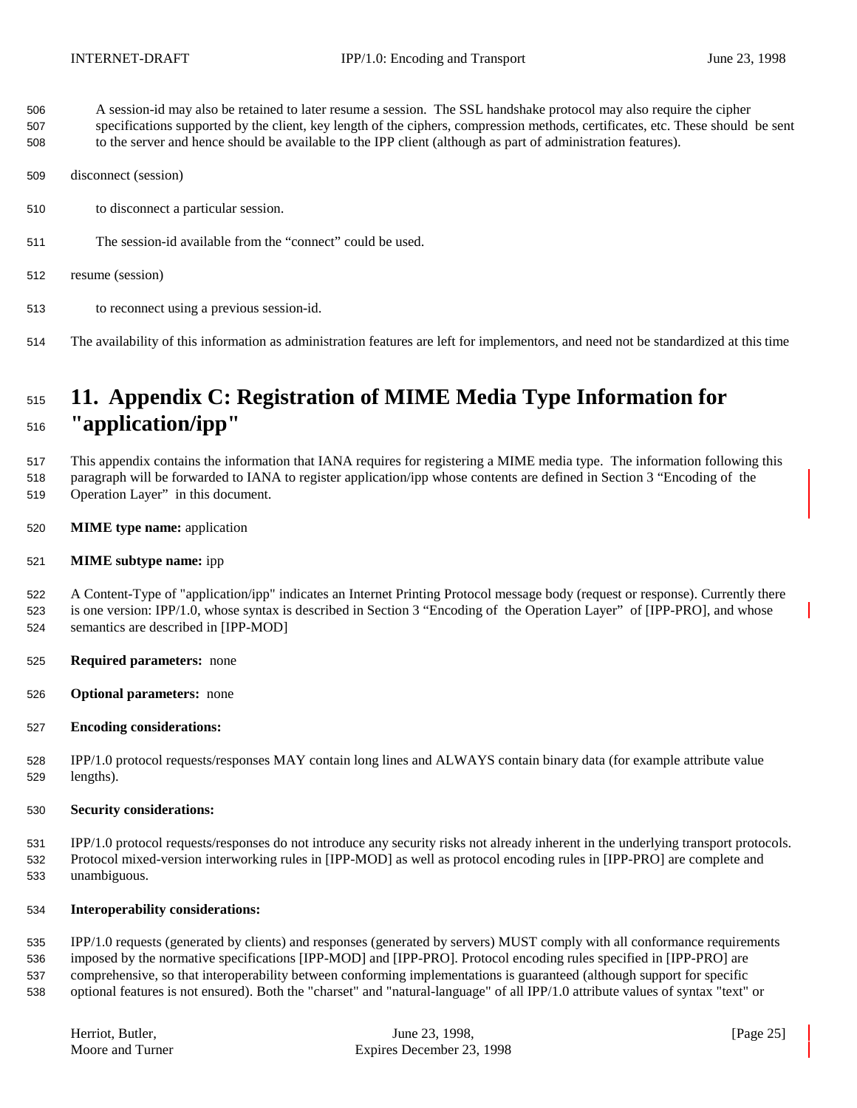- A session-id may also be retained to later resume a session. The SSL handshake protocol may also require the cipher
- specifications supported by the client, key length of the ciphers, compression methods, certificates, etc. These should be sent to the server and hence should be available to the IPP client (although as part of administration features).
- disconnect (session)
- to disconnect a particular session.
- The session-id available from the "connect" could be used.
- resume (session)
- to reconnect using a previous session-id.
- The availability of this information as administration features are left for implementors, and need not be standardized at this time

# **11. Appendix C: Registration of MIME Media Type Information for "application/ipp"**

 This appendix contains the information that IANA requires for registering a MIME media type. The information following this paragraph will be forwarded to IANA to register application/ipp whose contents are defined in Section 3 "Encoding of the

- Operation Layer" in this document.
- **MIME type name:** application

### **MIME subtype name:** ipp

 A Content-Type of "application/ipp" indicates an Internet Printing Protocol message body (request or response). Currently there is one version: IPP/1.0, whose syntax is described in Section 3 "Encoding of the Operation Layer" of [IPP-PRO], and whose semantics are described in [IPP-MOD]

- **Required parameters:** none
- **Optional parameters:** none
- **Encoding considerations:**

 IPP/1.0 protocol requests/responses MAY contain long lines and ALWAYS contain binary data (for example attribute value lengths).

**Security considerations:**

 IPP/1.0 protocol requests/responses do not introduce any security risks not already inherent in the underlying transport protocols. Protocol mixed-version interworking rules in [IPP-MOD] as well as protocol encoding rules in [IPP-PRO] are complete and unambiguous.

## **Interoperability considerations:**

 IPP/1.0 requests (generated by clients) and responses (generated by servers) MUST comply with all conformance requirements imposed by the normative specifications [IPP-MOD] and [IPP-PRO]. Protocol encoding rules specified in [IPP-PRO] are comprehensive, so that interoperability between conforming implementations is guaranteed (although support for specific optional features is not ensured). Both the "charset" and "natural-language" of all IPP/1.0 attribute values of syntax "text" or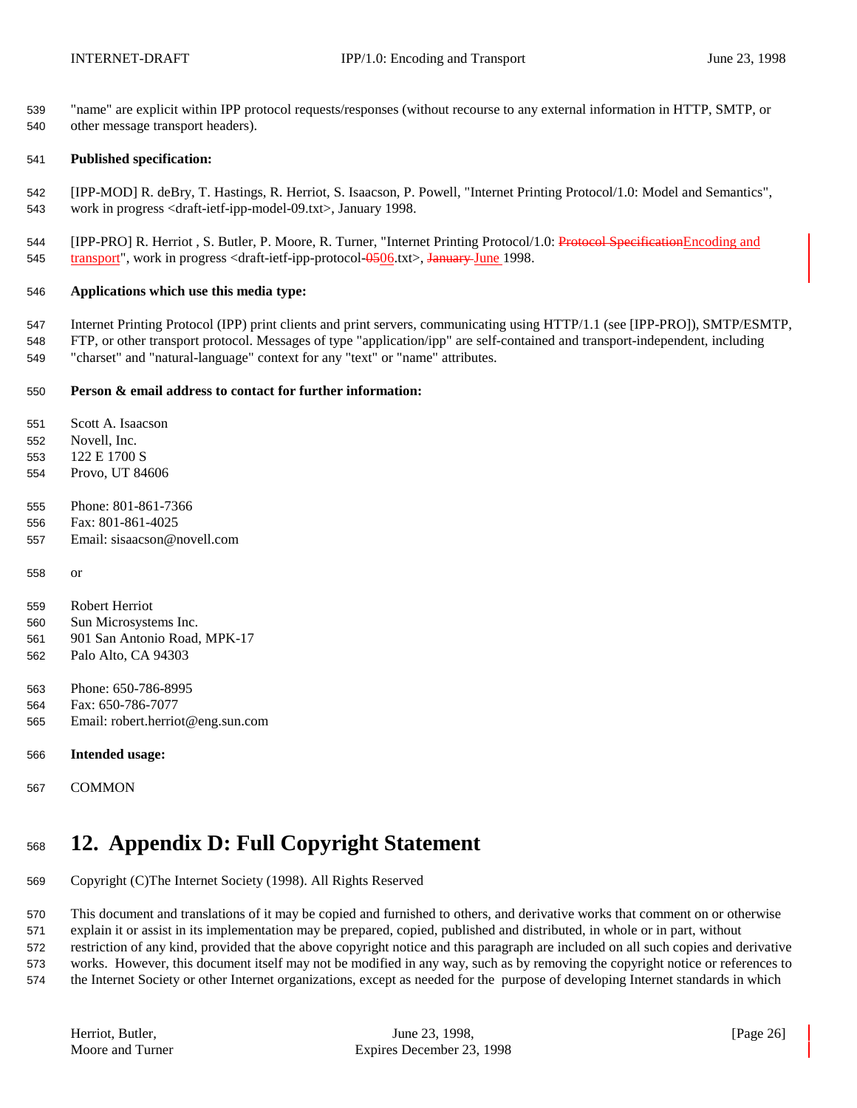"name" are explicit within IPP protocol requests/responses (without recourse to any external information in HTTP, SMTP, or other message transport headers).

#### **Published specification:**

 [IPP-MOD] R. deBry, T. Hastings, R. Herriot, S. Isaacson, P. Powell, "Internet Printing Protocol/1.0: Model and Semantics", work in progress <draft-ietf-ipp-model-09.txt>, January 1998.

544 [IPP-PRO] R. Herriot , S. Butler, P. Moore, R. Turner, "Internet Printing Protocol/1.0: Protocol SpecificationEncoding and 545 transport", work in progress <draft-ietf-ipp-protocol- $\frac{0.0506 \text{ K}}{0.0506 \text{ K}}$  January June 1998.

#### **Applications which use this media type:**

 Internet Printing Protocol (IPP) print clients and print servers, communicating using HTTP/1.1 (see [IPP-PRO]), SMTP/ESMTP, FTP, or other transport protocol. Messages of type "application/ipp" are self-contained and transport-independent, including "charset" and "natural-language" context for any "text" or "name" attributes.

#### **Person & email address to contact for further information:**

Scott A. Isaacson

- Novell, Inc.
- 122 E 1700 S
- Provo, UT 84606
- Phone: 801-861-7366
- Fax: 801-861-4025
- Email: sisaacson@novell.com
- or
- Robert Herriot
- Sun Microsystems Inc.
- 901 San Antonio Road, MPK-17 Palo Alto, CA 94303
- 
- Phone: 650-786-8995
- Fax: 650-786-7077
- Email: robert.herriot@eng.sun.com
- **Intended usage:**
- COMMON

# **12. Appendix D: Full Copyright Statement**

Copyright (C)The Internet Society (1998). All Rights Reserved

 This document and translations of it may be copied and furnished to others, and derivative works that comment on or otherwise explain it or assist in its implementation may be prepared, copied, published and distributed, in whole or in part, without restriction of any kind, provided that the above copyright notice and this paragraph are included on all such copies and derivative works. However, this document itself may not be modified in any way, such as by removing the copyright notice or references to

the Internet Society or other Internet organizations, except as needed for the purpose of developing Internet standards in which

| Herriot, Butler, |  |  |
|------------------|--|--|
| Moore and Turner |  |  |